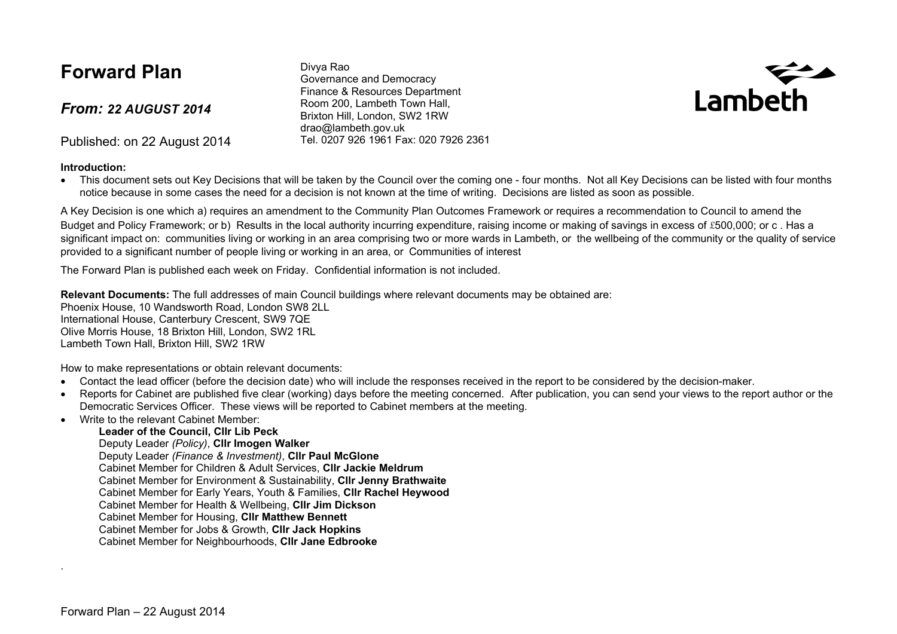### **Forward Plan**

*From: 22 AUGUST 2014*

Published: on 22 August 2014

#### **Introduction:**

Divya Rao Governance and Democracy Finance & Resources Department Room 200, Lambeth Town Hall, Brixton Hill, London, SW2 1RW drao@lambeth.gov.uk Tel. 0207 926 1961 Fax: 020 7926 2361



• This document sets out Key Decisions that will be taken by the Council over the coming one - four months. Not all Key Decisions can be listed with four months notice because in some cases the need for a decision is not known at the time of writing. Decisions are listed as soon as possible.

A Key Decision is one which a) requires an amendment to the Community Plan Outcomes Framework or requires a recommendation to Council to amend the Budget and Policy Framework; or b) Results in the local authority incurring expenditure, raising income or making of savings in excess of £500,000; or c, Has a significant impact on: communities living or working in an area comprising two or more wards in Lambeth, or the wellbeing of the community or the quality of service provided to a significant number of people living or working in an area, or Communities of interest

The Forward Plan is published each week on Friday. Confidential information is not included.

**Relevant Documents:** The full addresses of main Council buildings where relevant documents may be obtained are: Phoenix House, 10 Wandsworth Road, London SW8 2LL International House, Canterbury Crescent, SW9 7QE Olive Morris House, 18 Brixton Hill, London, SW2 1RL Lambeth Town Hall, Brixton Hill, SW2 1RW

How to make representations or obtain relevant documents:

- Contact the lead officer (before the decision date) who will include the responses received in the report to be considered by the decision-maker.
- Reports for Cabinet are published five clear (working) days before the meeting concerned. After publication, you can send your views to the report author or the Democratic Services Officer. These views will be reported to Cabinet members at the meeting.
- Write to the relevant Cabinet Member:

#### **Leader of the Council, Cllr Lib Peck**

Deputy Leader *(Policy)*, **Cllr Imogen Walker**

Deputy Leader *(Finance & Investment)*, **Cllr Paul McGlone**

Cabinet Member for Children & Adult Services, **Cllr Jackie Meldrum**

Cabinet Member for Environment & Sustainability, **Cllr Jenny Brathwaite**

Cabinet Member for Early Years, Youth & Families, **Cllr Rachel Heywood**

Cabinet Member for Health & Wellbeing, **Cllr Jim Dickson**

Cabinet Member for Housing, **Cllr Matthew Bennett**

Cabinet Member for Jobs & Growth, **Cllr Jack Hopkins**

Cabinet Member for Neighbourhoods, **Cllr Jane Edbrooke**

.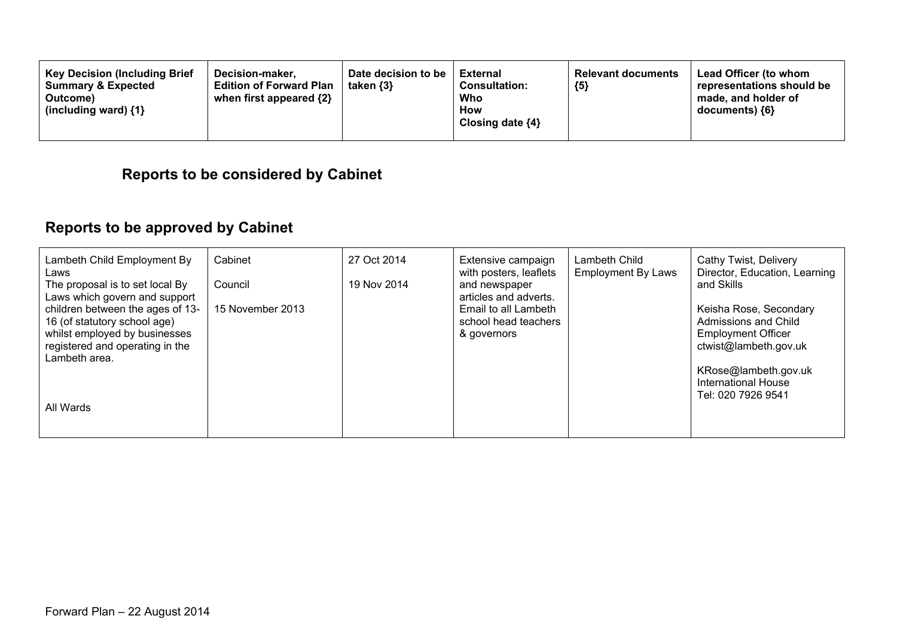| <b>Key Decision (Including Brief</b><br>Decision-maker.<br><b>Summary &amp; Expected</b><br><b>Edition of Forward Plan</b><br>when first appeared $\{2\}$<br>Outcome)<br>(including ward) $\{1\}$ | Date decision to be<br>taken $\{3\}$ | <b>External</b><br><b>Consultation:</b><br>Who<br><b>How</b><br>Closing date $\{4\}$ | <b>Relevant documents</b><br>${5}$ | <b>Lead Officer (to whom</b><br>representations should be<br>made, and holder of<br>documents) ${6}$ |
|---------------------------------------------------------------------------------------------------------------------------------------------------------------------------------------------------|--------------------------------------|--------------------------------------------------------------------------------------|------------------------------------|------------------------------------------------------------------------------------------------------|
|---------------------------------------------------------------------------------------------------------------------------------------------------------------------------------------------------|--------------------------------------|--------------------------------------------------------------------------------------|------------------------------------|------------------------------------------------------------------------------------------------------|

### **Reports to be considered by Cabinet**

# **Reports to be approved by Cabinet**

| Lambeth Child Employment By<br>Laws<br>The proposal is to set local By<br>Laws which govern and support<br>children between the ages of 13-<br>16 (of statutory school age)<br>whilst employed by businesses<br>registered and operating in the<br>Lambeth area. | Cabinet<br>Council<br>15 November 2013 | 27 Oct 2014<br>19 Nov 2014 | Extensive campaign<br>with posters, leaflets<br>and newspaper<br>articles and adverts.<br>Email to all Lambeth<br>school head teachers<br>& governors | Lambeth Child<br><b>Employment By Laws</b> | Cathy Twist, Delivery<br>Director, Education, Learning<br>and Skills<br>Keisha Rose, Secondary<br>Admissions and Child<br><b>Employment Officer</b><br>ctwist@lambeth.gov.uk |
|------------------------------------------------------------------------------------------------------------------------------------------------------------------------------------------------------------------------------------------------------------------|----------------------------------------|----------------------------|-------------------------------------------------------------------------------------------------------------------------------------------------------|--------------------------------------------|------------------------------------------------------------------------------------------------------------------------------------------------------------------------------|
| All Wards                                                                                                                                                                                                                                                        |                                        |                            |                                                                                                                                                       |                                            | KRose@lambeth.gov.uk<br><b>International House</b><br>Tel: 020 7926 9541                                                                                                     |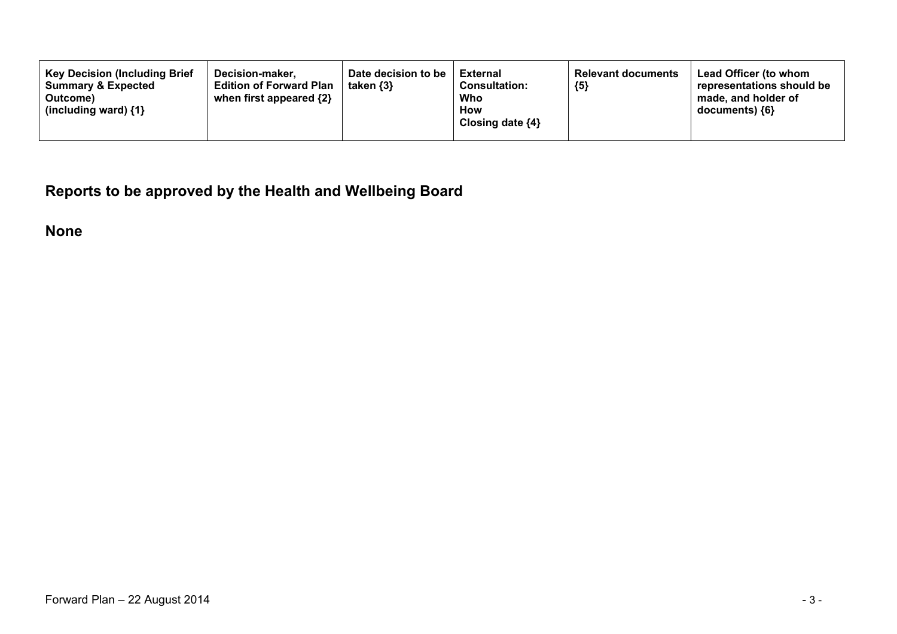**Reports to be approved by the Health and Wellbeing Board**

**None**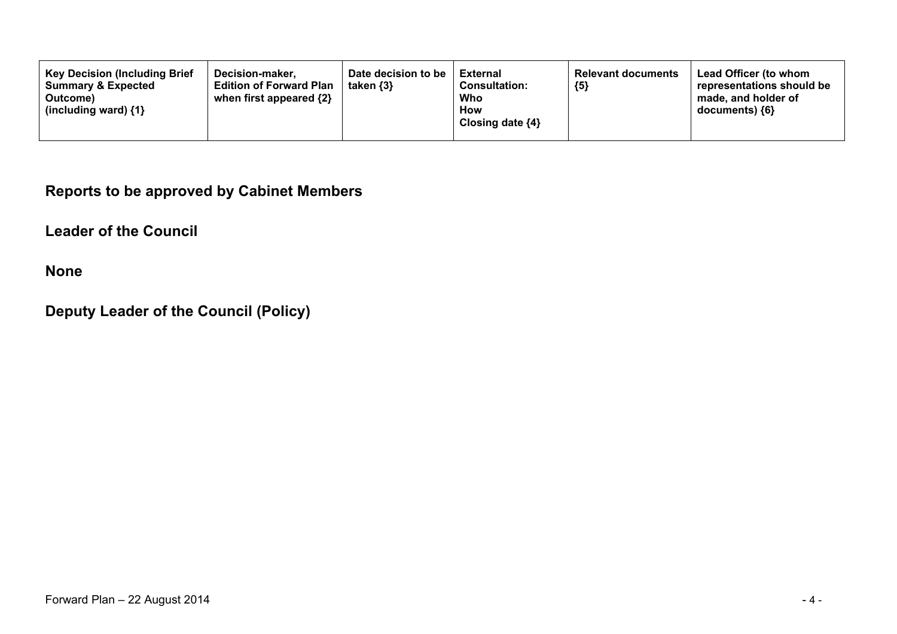#### **Reports to be approved by Cabinet Members**

**Leader of the Council**

**None**

### **Deputy Leader of the Council (Policy)**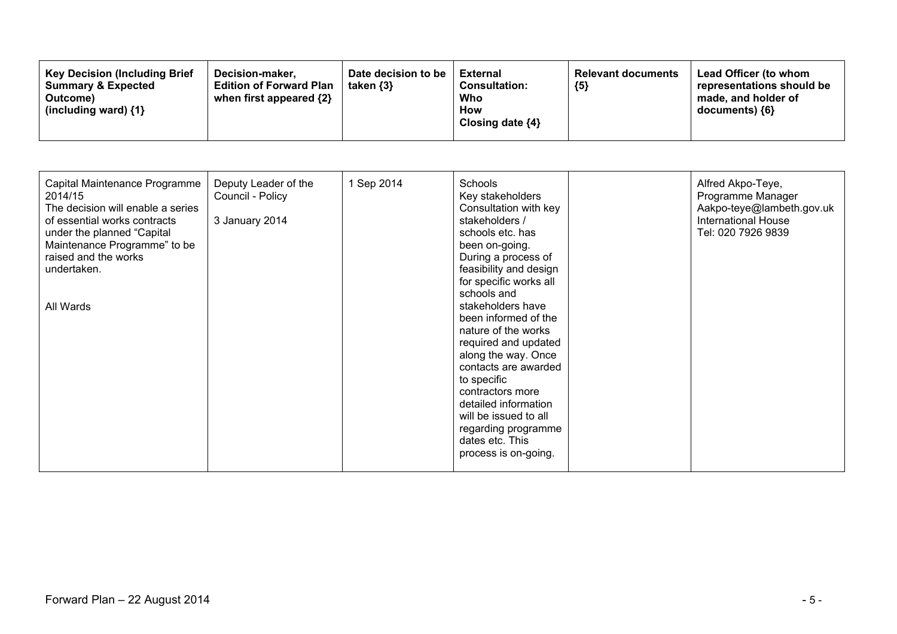| <b>Key Decision (Including Brief)</b><br>Decision-maker.<br><b>Summary &amp; Expected</b><br><b>Edition of Forward Plan</b><br>when first appeared {2}<br>Outcome)<br>(including ward) $\{1\}$ | Date decision to be<br>taken $\{3\}$ | External<br><b>Consultation:</b><br>Who<br>How<br>Closing date ${4}$ | <b>Relevant documents</b><br>${5}$ | Lead Officer (to whom<br>representations should be<br>made, and holder of<br>$documents)$ {6} |
|------------------------------------------------------------------------------------------------------------------------------------------------------------------------------------------------|--------------------------------------|----------------------------------------------------------------------|------------------------------------|-----------------------------------------------------------------------------------------------|
|------------------------------------------------------------------------------------------------------------------------------------------------------------------------------------------------|--------------------------------------|----------------------------------------------------------------------|------------------------------------|-----------------------------------------------------------------------------------------------|

| Capital Maintenance Programme<br>2014/15<br>The decision will enable a series<br>of essential works contracts<br>under the planned "Capital<br>Maintenance Programme" to be<br>raised and the works<br>undertaken.<br>All Wards | Deputy Leader of the<br>Council - Policy<br>3 January 2014 | 1 Sep 2014 | Schools<br>Key stakeholders<br>Consultation with key<br>stakeholders /<br>schools etc. has<br>been on-going.<br>During a process of<br>feasibility and design<br>for specific works all<br>schools and<br>stakeholders have<br>been informed of the<br>nature of the works<br>required and updated<br>along the way. Once<br>contacts are awarded<br>to specific<br>contractors more<br>detailed information<br>will be issued to all<br>regarding programme<br>dates etc. This<br>process is on-going. |  | Alfred Akpo-Teye,<br>Programme Manager<br>Aakpo-teye@lambeth.gov.uk<br><b>International House</b><br>Tel: 020 7926 9839 |
|---------------------------------------------------------------------------------------------------------------------------------------------------------------------------------------------------------------------------------|------------------------------------------------------------|------------|---------------------------------------------------------------------------------------------------------------------------------------------------------------------------------------------------------------------------------------------------------------------------------------------------------------------------------------------------------------------------------------------------------------------------------------------------------------------------------------------------------|--|-------------------------------------------------------------------------------------------------------------------------|
|---------------------------------------------------------------------------------------------------------------------------------------------------------------------------------------------------------------------------------|------------------------------------------------------------|------------|---------------------------------------------------------------------------------------------------------------------------------------------------------------------------------------------------------------------------------------------------------------------------------------------------------------------------------------------------------------------------------------------------------------------------------------------------------------------------------------------------------|--|-------------------------------------------------------------------------------------------------------------------------|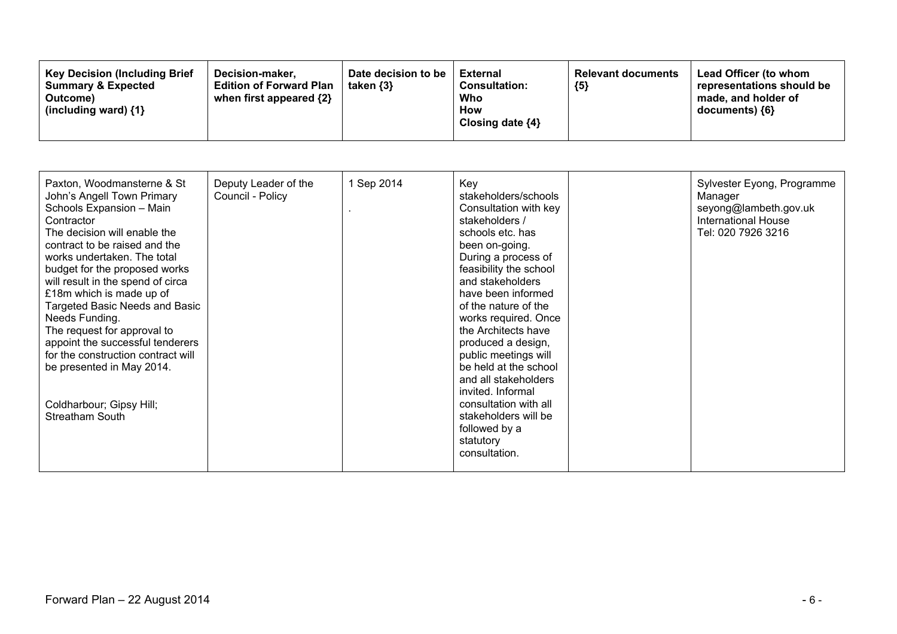| <b>Key Decision (Including Brief</b><br>Decision-maker.<br><b>Edition of Forward Plan</b><br><b>Summary &amp; Expected</b><br>when first appeared $\{2\}$<br>Outcome)<br>(including ward) $\{1\}$ | Date decision to be<br>taken $\{3\}$ | External<br><b>Consultation:</b><br>Who<br>How<br>Closing date ${4}$ | <b>Relevant documents</b><br>${5}$ | Lead Officer (to whom<br>representations should be<br>made, and holder of<br>documents) ${6}$ |
|---------------------------------------------------------------------------------------------------------------------------------------------------------------------------------------------------|--------------------------------------|----------------------------------------------------------------------|------------------------------------|-----------------------------------------------------------------------------------------------|
|---------------------------------------------------------------------------------------------------------------------------------------------------------------------------------------------------|--------------------------------------|----------------------------------------------------------------------|------------------------------------|-----------------------------------------------------------------------------------------------|

| Paxton, Woodmansterne & St<br>John's Angell Town Primary<br>Schools Expansion - Main<br>Contractor<br>The decision will enable the<br>contract to be raised and the<br>works undertaken. The total<br>budget for the proposed works<br>will result in the spend of circa<br>£18m which is made up of<br>Targeted Basic Needs and Basic<br>Needs Funding.<br>The request for approval to<br>appoint the successful tenderers<br>for the construction contract will<br>be presented in May 2014.<br>Coldharbour; Gipsy Hill;<br>Streatham South | Deputy Leader of the<br>Council - Policy | 1 Sep 2014 | Key<br>stakeholders/schools<br>Consultation with key<br>stakeholders /<br>schools etc. has<br>been on-going.<br>During a process of<br>feasibility the school<br>and stakeholders<br>have been informed<br>of the nature of the<br>works required. Once<br>the Architects have<br>produced a design,<br>public meetings will<br>be held at the school<br>and all stakeholders<br>invited. Informal<br>consultation with all<br>stakeholders will be<br>followed by a<br>statutory<br>consultation. |  | Sylvester Eyong, Programme<br>Manager<br>seyong@lambeth.gov.uk<br><b>International House</b><br>Tel: 020 7926 3216 |
|-----------------------------------------------------------------------------------------------------------------------------------------------------------------------------------------------------------------------------------------------------------------------------------------------------------------------------------------------------------------------------------------------------------------------------------------------------------------------------------------------------------------------------------------------|------------------------------------------|------------|----------------------------------------------------------------------------------------------------------------------------------------------------------------------------------------------------------------------------------------------------------------------------------------------------------------------------------------------------------------------------------------------------------------------------------------------------------------------------------------------------|--|--------------------------------------------------------------------------------------------------------------------|
|-----------------------------------------------------------------------------------------------------------------------------------------------------------------------------------------------------------------------------------------------------------------------------------------------------------------------------------------------------------------------------------------------------------------------------------------------------------------------------------------------------------------------------------------------|------------------------------------------|------------|----------------------------------------------------------------------------------------------------------------------------------------------------------------------------------------------------------------------------------------------------------------------------------------------------------------------------------------------------------------------------------------------------------------------------------------------------------------------------------------------------|--|--------------------------------------------------------------------------------------------------------------------|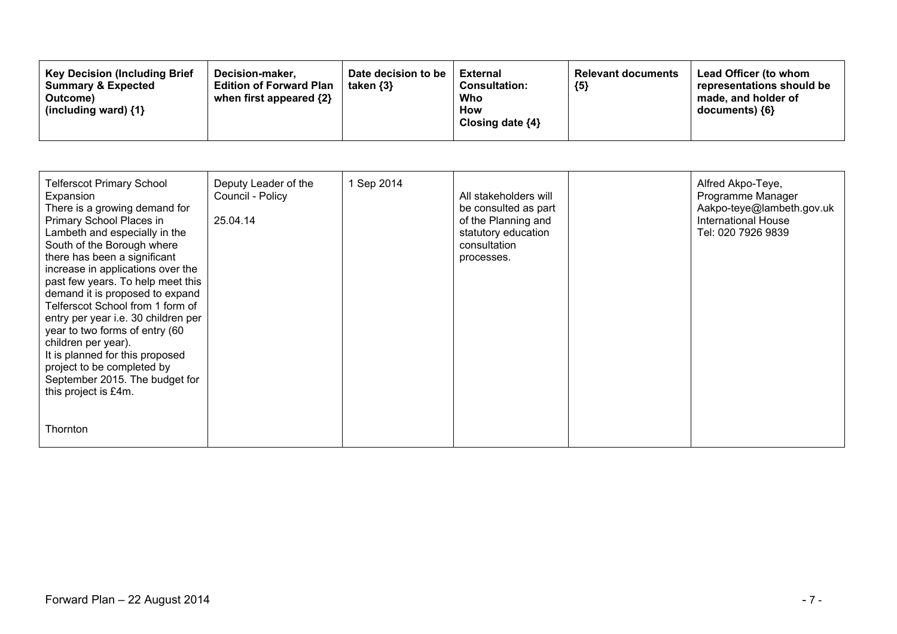| Date decision to be<br><b>Key Decision (Including Brief)</b><br>Decision-maker.<br><b>Summary &amp; Expected</b><br><b>Edition of Forward Plan</b><br>taken $\{3\}$<br>when first appeared {2}<br>Outcome)<br>(including ward) $\{1\}$ | <b>External</b><br><b>Consultation:</b><br>Who<br><b>How</b><br>Closing date $\{4\}$ | <b>Relevant documents</b><br>${5}$ | Lead Officer (to whom<br>representations should be<br>made, and holder of<br>documents) {6} |
|----------------------------------------------------------------------------------------------------------------------------------------------------------------------------------------------------------------------------------------|--------------------------------------------------------------------------------------|------------------------------------|---------------------------------------------------------------------------------------------|
|----------------------------------------------------------------------------------------------------------------------------------------------------------------------------------------------------------------------------------------|--------------------------------------------------------------------------------------|------------------------------------|---------------------------------------------------------------------------------------------|

| <b>Telferscot Primary School</b><br>Expansion<br>There is a growing demand for<br>Primary School Places in<br>Lambeth and especially in the<br>South of the Borough where<br>there has been a significant<br>increase in applications over the<br>past few years. To help meet this<br>demand it is proposed to expand<br>Telferscot School from 1 form of<br>entry per year i.e. 30 children per<br>year to two forms of entry (60<br>children per year).<br>It is planned for this proposed<br>project to be completed by<br>September 2015. The budget for<br>this project is £4m. | Deputy Leader of the<br>Council - Policy<br>25.04.14 | 1 Sep 2014 | All stakeholders will<br>be consulted as part<br>of the Planning and<br>statutory education<br>consultation<br>processes. | Alfred Akpo-Teye,<br>Programme Manager<br>Aakpo-teye@lambeth.gov.uk<br><b>International House</b><br>Tel: 020 7926 9839 |
|---------------------------------------------------------------------------------------------------------------------------------------------------------------------------------------------------------------------------------------------------------------------------------------------------------------------------------------------------------------------------------------------------------------------------------------------------------------------------------------------------------------------------------------------------------------------------------------|------------------------------------------------------|------------|---------------------------------------------------------------------------------------------------------------------------|-------------------------------------------------------------------------------------------------------------------------|
| Thornton                                                                                                                                                                                                                                                                                                                                                                                                                                                                                                                                                                              |                                                      |            |                                                                                                                           |                                                                                                                         |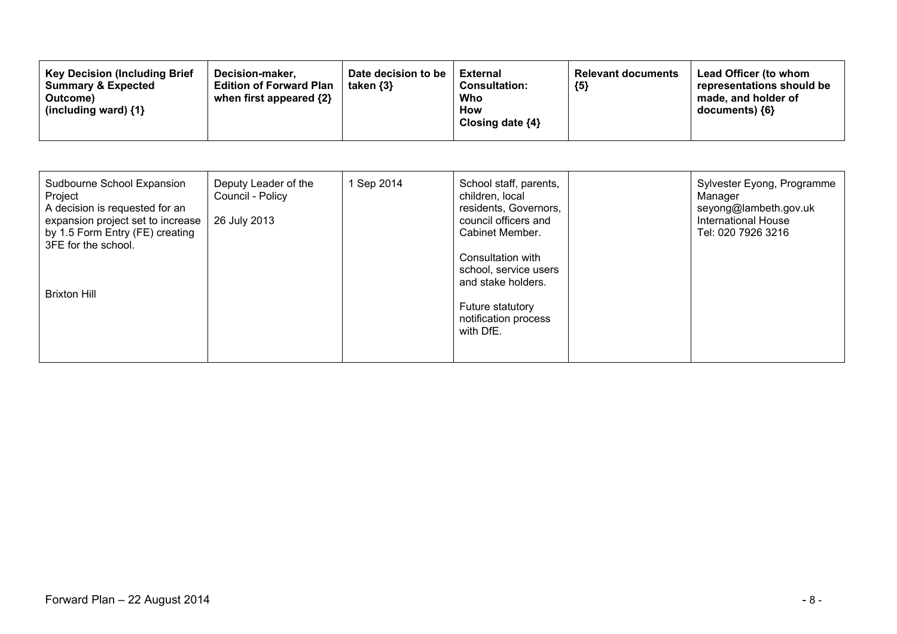| Sudbourne School Expansion<br>Project<br>A decision is requested for an<br>expansion project set to increase<br>by 1.5 Form Entry (FE) creating<br>3FE for the school. | Deputy Leader of the<br>Council - Policy<br>26 July 2013 | 1 Sep 2014 | School staff, parents,<br>children, local<br>residents, Governors,<br>council officers and<br>Cabinet Member.                    | Sylvester Eyong, Programme<br>Manager<br>seyong@lambeth.gov.uk<br>International House<br>Tel: 020 7926 3216 |
|------------------------------------------------------------------------------------------------------------------------------------------------------------------------|----------------------------------------------------------|------------|----------------------------------------------------------------------------------------------------------------------------------|-------------------------------------------------------------------------------------------------------------|
| <b>Brixton Hill</b>                                                                                                                                                    |                                                          |            | Consultation with<br>school, service users<br>and stake holders.<br><b>Future statutory</b><br>notification process<br>with DfE. |                                                                                                             |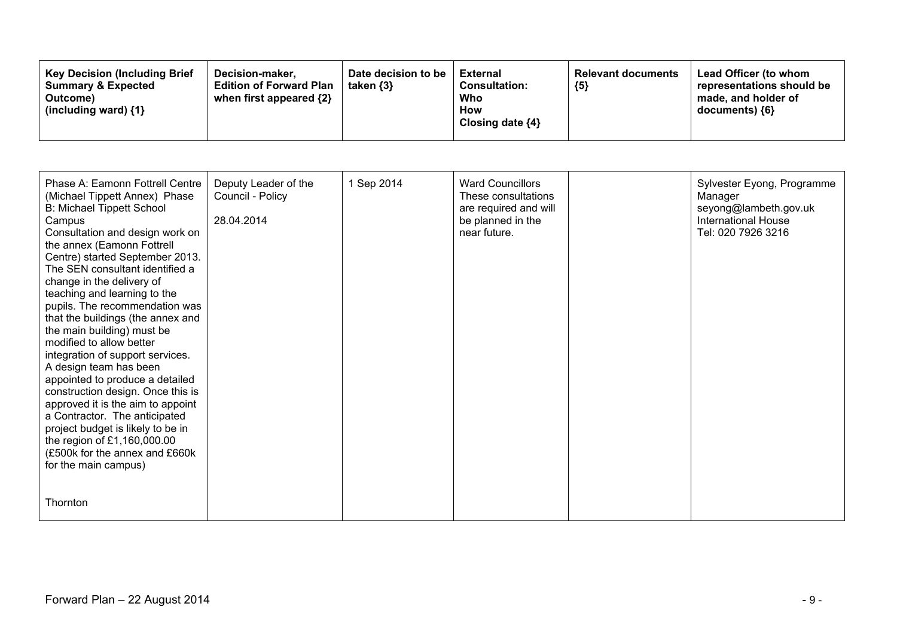| <b>Key Decision (Including Brief)</b><br>Decision-maker.<br><b>Summary &amp; Expected</b><br><b>Edition of Forward Plan</b><br>when first appeared $\{2\}$<br>Outcome)<br>(including ward) $\{1\}$ | Date decision to be<br>taken $\{3\}$ | External<br><b>Consultation:</b><br>Who<br><b>How</b><br>Closing date ${4}$ | <b>Relevant documents</b><br>${5}$ | Lead Officer (to whom<br>representations should be<br>made, and holder of<br>documents) ${6}$ |
|----------------------------------------------------------------------------------------------------------------------------------------------------------------------------------------------------|--------------------------------------|-----------------------------------------------------------------------------|------------------------------------|-----------------------------------------------------------------------------------------------|
|----------------------------------------------------------------------------------------------------------------------------------------------------------------------------------------------------|--------------------------------------|-----------------------------------------------------------------------------|------------------------------------|-----------------------------------------------------------------------------------------------|

| Phase A: Eamonn Fottrell Centre<br>(Michael Tippett Annex) Phase<br><b>B: Michael Tippett School</b><br>Campus<br>Consultation and design work on<br>the annex (Eamonn Fottrell<br>Centre) started September 2013.<br>The SEN consultant identified a<br>change in the delivery of<br>teaching and learning to the<br>pupils. The recommendation was<br>that the buildings (the annex and<br>the main building) must be<br>modified to allow better<br>integration of support services.<br>A design team has been<br>appointed to produce a detailed<br>construction design. Once this is<br>approved it is the aim to appoint<br>a Contractor. The anticipated<br>project budget is likely to be in<br>the region of £1,160,000.00<br>(£500k for the annex and £660k<br>for the main campus) | Deputy Leader of the<br>Council - Policy<br>28.04.2014 | 1 Sep 2014 | <b>Ward Councillors</b><br>These consultations<br>are required and will<br>be planned in the<br>near future. | Sylvester Eyong, Programme<br>Manager<br>seyong@lambeth.gov.uk<br><b>International House</b><br>Tel: 020 7926 3216 |
|-----------------------------------------------------------------------------------------------------------------------------------------------------------------------------------------------------------------------------------------------------------------------------------------------------------------------------------------------------------------------------------------------------------------------------------------------------------------------------------------------------------------------------------------------------------------------------------------------------------------------------------------------------------------------------------------------------------------------------------------------------------------------------------------------|--------------------------------------------------------|------------|--------------------------------------------------------------------------------------------------------------|--------------------------------------------------------------------------------------------------------------------|
| <b>Thornton</b>                                                                                                                                                                                                                                                                                                                                                                                                                                                                                                                                                                                                                                                                                                                                                                               |                                                        |            |                                                                                                              |                                                                                                                    |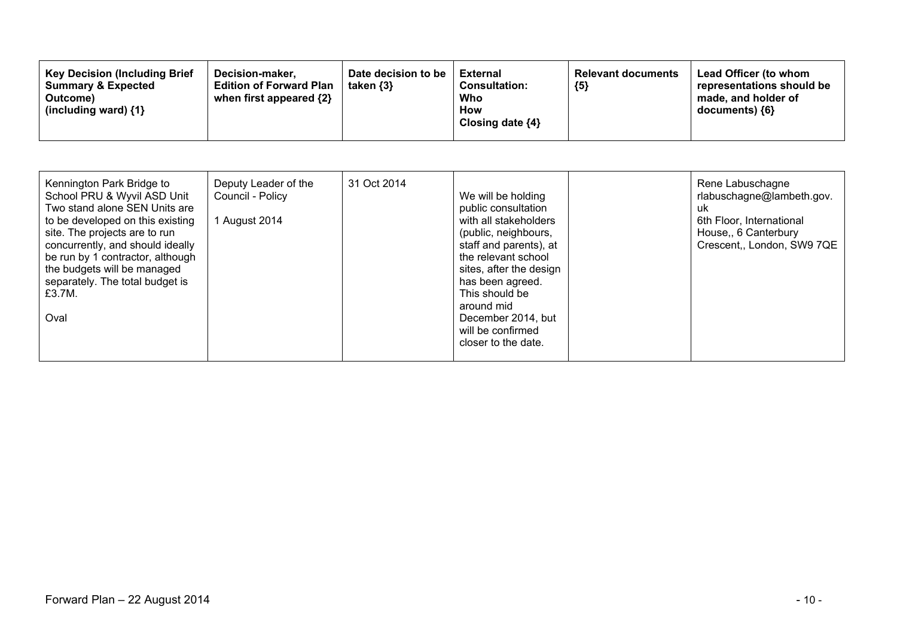| Kennington Park Bridge to<br>School PRU & Wyvil ASD Unit<br>Two stand alone SEN Units are<br>to be developed on this existing<br>site. The projects are to run<br>concurrently, and should ideally<br>be run by 1 contractor, although<br>the budgets will be managed<br>separately. The total budget is<br>£3.7M.<br>Oval | Deputy Leader of the<br>Council - Policy<br>1 August 2014 | 31 Oct 2014 | We will be holding<br>public consultation<br>with all stakeholders<br>(public, neighbours,<br>staff and parents), at<br>the relevant school<br>sites, after the design<br>has been agreed.<br>This should be<br>around mid<br>December 2014, but<br>will be confirmed<br>closer to the date. |  | Rene Labuschagne<br>rlabuschagne@lambeth.gov.<br>uk<br>6th Floor, International<br>House, 6 Canterbury<br>Crescent,, London, SW9 7QE |
|----------------------------------------------------------------------------------------------------------------------------------------------------------------------------------------------------------------------------------------------------------------------------------------------------------------------------|-----------------------------------------------------------|-------------|----------------------------------------------------------------------------------------------------------------------------------------------------------------------------------------------------------------------------------------------------------------------------------------------|--|--------------------------------------------------------------------------------------------------------------------------------------|
|----------------------------------------------------------------------------------------------------------------------------------------------------------------------------------------------------------------------------------------------------------------------------------------------------------------------------|-----------------------------------------------------------|-------------|----------------------------------------------------------------------------------------------------------------------------------------------------------------------------------------------------------------------------------------------------------------------------------------------|--|--------------------------------------------------------------------------------------------------------------------------------------|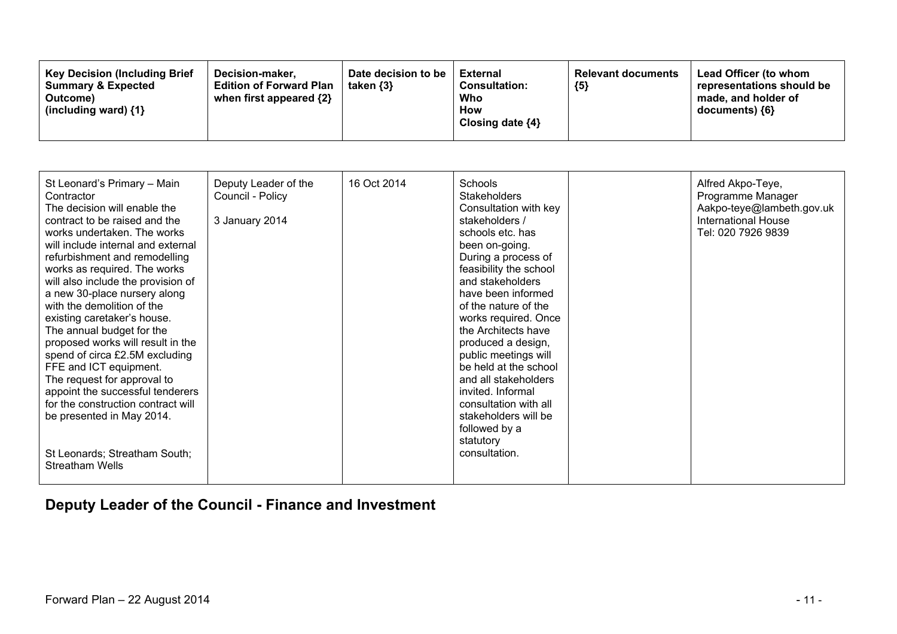| <b>Key Decision (Including Brief</b><br>Decision-maker,<br><b>Summary &amp; Expected</b><br><b>Edition of Forward Plan</b><br>when first appeared $\{2\}$<br>Outcome)<br>(including ward) $\{1\}$ | Date decision to be<br>taken $\{3\}$ | External<br><b>Consultation:</b><br>Who<br>How<br>Closing date $\{4\}$ | <b>Relevant documents</b><br>${5}$ | <b>Lead Officer (to whom</b><br>representations should be<br>made, and holder of<br>documents) ${6}$ |
|---------------------------------------------------------------------------------------------------------------------------------------------------------------------------------------------------|--------------------------------------|------------------------------------------------------------------------|------------------------------------|------------------------------------------------------------------------------------------------------|
|---------------------------------------------------------------------------------------------------------------------------------------------------------------------------------------------------|--------------------------------------|------------------------------------------------------------------------|------------------------------------|------------------------------------------------------------------------------------------------------|

| St Leonard's Primary - Main        | Deputy Leader of the | 16 Oct 2014 | Schools                | Alfred Akpo-Teye,          |
|------------------------------------|----------------------|-------------|------------------------|----------------------------|
| Contractor                         | Council - Policy     |             | <b>Stakeholders</b>    | Programme Manager          |
| The decision will enable the       |                      |             | Consultation with key  | Aakpo-teye@lambeth.gov.uk  |
| contract to be raised and the      | 3 January 2014       |             | stakeholders /         | <b>International House</b> |
| works undertaken. The works        |                      |             | schools etc. has       | Tel: 020 7926 9839         |
| will include internal and external |                      |             | been on-going.         |                            |
| refurbishment and remodelling      |                      |             | During a process of    |                            |
| works as required. The works       |                      |             | feasibility the school |                            |
| will also include the provision of |                      |             | and stakeholders       |                            |
| a new 30-place nursery along       |                      |             | have been informed     |                            |
| with the demolition of the         |                      |             | of the nature of the   |                            |
| existing caretaker's house.        |                      |             | works required. Once   |                            |
| The annual budget for the          |                      |             | the Architects have    |                            |
| proposed works will result in the  |                      |             | produced a design,     |                            |
| spend of circa £2.5M excluding     |                      |             | public meetings will   |                            |
| FFE and ICT equipment.             |                      |             | be held at the school  |                            |
| The request for approval to        |                      |             | and all stakeholders   |                            |
| appoint the successful tenderers   |                      |             | invited. Informal      |                            |
| for the construction contract will |                      |             | consultation with all  |                            |
| be presented in May 2014.          |                      |             | stakeholders will be   |                            |
|                                    |                      |             | followed by a          |                            |
|                                    |                      |             | statutory              |                            |
| St Leonards; Streatham South;      |                      |             | consultation.          |                            |
| <b>Streatham Wells</b>             |                      |             |                        |                            |
|                                    |                      |             |                        |                            |

### **Deputy Leader of the Council - Finance and Investment**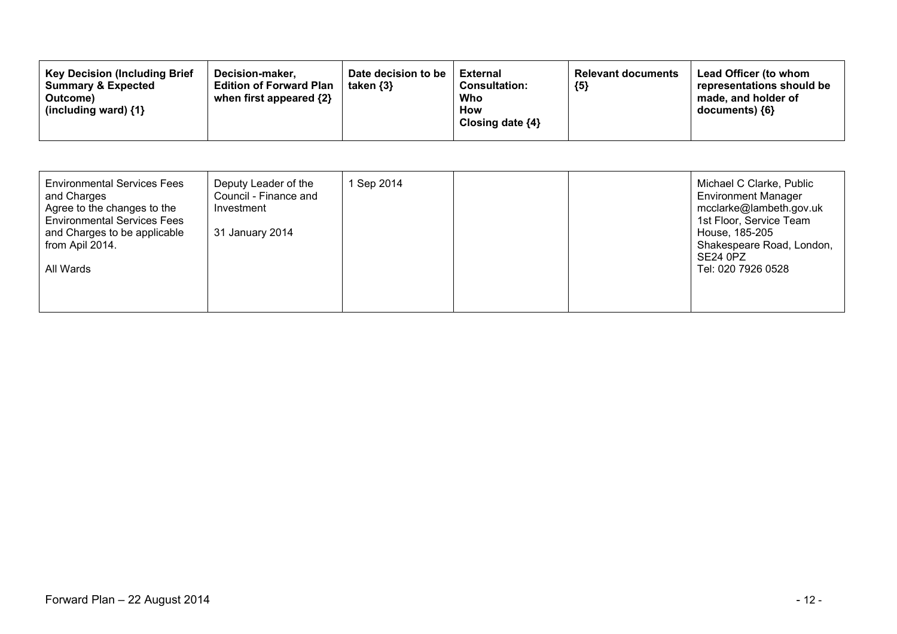| <b>Key Decision (Including Brief)</b><br>Decision-maker.<br><b>Edition of Forward Plan</b><br><b>Summary &amp; Expected</b><br>when first appeared {2}<br>Outcome)<br>(including ward) {1} | Date decision to be<br>taken $\{3\}$ | <b>External</b><br><b>Consultation:</b><br>Who<br>How<br>Closing date $\{4\}$ | <b>Relevant documents</b><br>${5}$ | Lead Officer (to whom<br>representations should be<br>made, and holder of<br>$documents)$ {6} |
|--------------------------------------------------------------------------------------------------------------------------------------------------------------------------------------------|--------------------------------------|-------------------------------------------------------------------------------|------------------------------------|-----------------------------------------------------------------------------------------------|
|--------------------------------------------------------------------------------------------------------------------------------------------------------------------------------------------|--------------------------------------|-------------------------------------------------------------------------------|------------------------------------|-----------------------------------------------------------------------------------------------|

| <b>Environmental Services Fees</b><br>and Charges<br>Agree to the changes to the<br><b>Environmental Services Fees</b><br>and Charges to be applicable<br>from Apil 2014.<br>All Wards | Deputy Leader of the<br>Council - Finance and<br>Investment<br>31 January 2014 | Sep 2014 |  | Michael C Clarke, Public<br><b>Environment Manager</b><br>mcclarke@lambeth.gov.uk<br>1st Floor, Service Team<br>House, 185-205<br>Shakespeare Road, London,<br><b>SE24 0PZ</b><br>Tel: 020 7926 0528 |
|----------------------------------------------------------------------------------------------------------------------------------------------------------------------------------------|--------------------------------------------------------------------------------|----------|--|------------------------------------------------------------------------------------------------------------------------------------------------------------------------------------------------------|
|                                                                                                                                                                                        |                                                                                |          |  |                                                                                                                                                                                                      |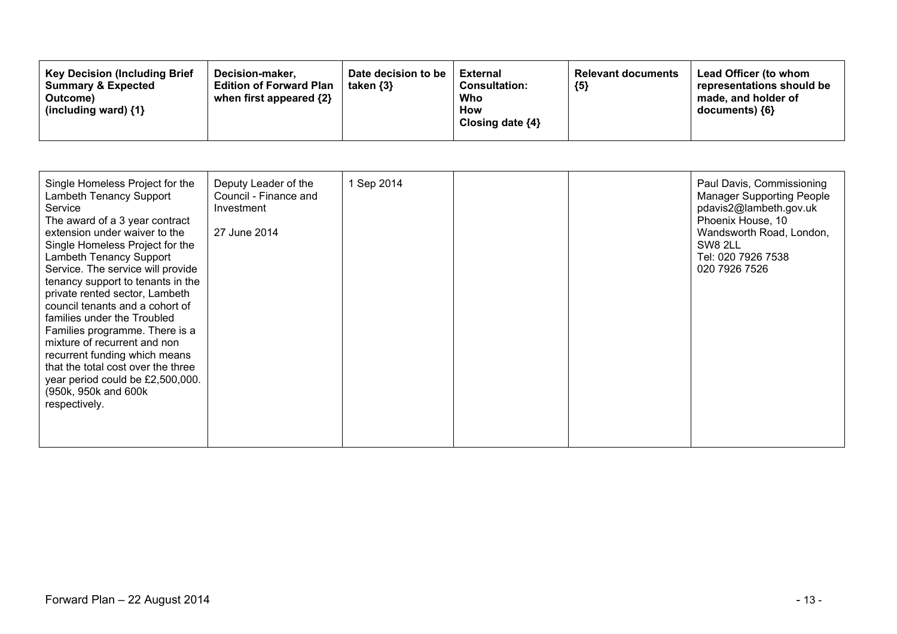| <b>Key Decision (Including Brief)</b><br>Decision-maker.<br><b>Summary &amp; Expected</b><br><b>Edition of Forward Plan</b><br>when first appeared {2}<br>Outcome)<br>(including ward) $\{1\}$ | Date decision to be<br>taken $\{3\}$ | External<br><b>Consultation:</b><br>Who<br>How<br>Closing date $\{4\}$ | <b>Relevant documents</b><br>${5}$ | Lead Officer (to whom<br>representations should be<br>made, and holder of<br>$documents)$ {6} |
|------------------------------------------------------------------------------------------------------------------------------------------------------------------------------------------------|--------------------------------------|------------------------------------------------------------------------|------------------------------------|-----------------------------------------------------------------------------------------------|
|------------------------------------------------------------------------------------------------------------------------------------------------------------------------------------------------|--------------------------------------|------------------------------------------------------------------------|------------------------------------|-----------------------------------------------------------------------------------------------|

| Single Homeless Project for the<br>Lambeth Tenancy Support<br>Service<br>The award of a 3 year contract<br>extension under waiver to the<br>Single Homeless Project for the<br>Lambeth Tenancy Support<br>Service. The service will provide<br>tenancy support to tenants in the<br>private rented sector, Lambeth<br>council tenants and a cohort of<br>families under the Troubled<br>Families programme. There is a<br>mixture of recurrent and non<br>recurrent funding which means<br>that the total cost over the three<br>year period could be £2,500,000.<br>(950k, 950k and 600k<br>respectively. | Deputy Leader of the<br>Council - Finance and<br>Investment<br>27 June 2014 | 1 Sep 2014 |  |  | Paul Davis, Commissioning<br><b>Manager Supporting People</b><br>pdavis2@lambeth.gov.uk<br>Phoenix House, 10<br>Wandsworth Road, London,<br>SW8 2LL<br>Tel: 020 7926 7538<br>020 7926 7526 |
|------------------------------------------------------------------------------------------------------------------------------------------------------------------------------------------------------------------------------------------------------------------------------------------------------------------------------------------------------------------------------------------------------------------------------------------------------------------------------------------------------------------------------------------------------------------------------------------------------------|-----------------------------------------------------------------------------|------------|--|--|--------------------------------------------------------------------------------------------------------------------------------------------------------------------------------------------|
|------------------------------------------------------------------------------------------------------------------------------------------------------------------------------------------------------------------------------------------------------------------------------------------------------------------------------------------------------------------------------------------------------------------------------------------------------------------------------------------------------------------------------------------------------------------------------------------------------------|-----------------------------------------------------------------------------|------------|--|--|--------------------------------------------------------------------------------------------------------------------------------------------------------------------------------------------|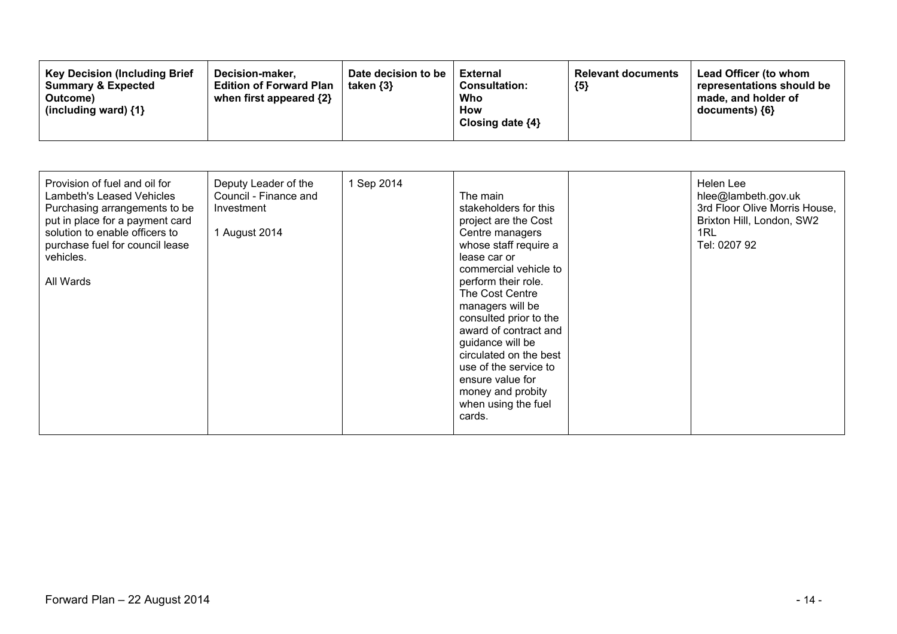| Provision of fuel and oil for<br>Deputy Leader of the<br>Council - Finance and<br>Lambeth's Leased Vehicles<br>Purchasing arrangements to be<br>Investment<br>put in place for a payment card<br>solution to enable officers to<br>1 August 2014<br>purchase fuel for council lease<br>vehicles.<br>All Wards | 1 Sep 2014 | The main<br>stakeholders for this<br>project are the Cost<br>Centre managers<br>whose staff require a<br>lease car or<br>commercial vehicle to<br>perform their role.<br>The Cost Centre<br>managers will be<br>consulted prior to the<br>award of contract and<br>guidance will be<br>circulated on the best<br>use of the service to<br>ensure value for<br>money and probity<br>when using the fuel<br>cards. |  | Helen Lee<br>hlee@lambeth.gov.uk<br>3rd Floor Olive Morris House,<br>Brixton Hill, London, SW2<br>1RL<br>Tel: 0207 92 |
|---------------------------------------------------------------------------------------------------------------------------------------------------------------------------------------------------------------------------------------------------------------------------------------------------------------|------------|------------------------------------------------------------------------------------------------------------------------------------------------------------------------------------------------------------------------------------------------------------------------------------------------------------------------------------------------------------------------------------------------------------------|--|-----------------------------------------------------------------------------------------------------------------------|
|---------------------------------------------------------------------------------------------------------------------------------------------------------------------------------------------------------------------------------------------------------------------------------------------------------------|------------|------------------------------------------------------------------------------------------------------------------------------------------------------------------------------------------------------------------------------------------------------------------------------------------------------------------------------------------------------------------------------------------------------------------|--|-----------------------------------------------------------------------------------------------------------------------|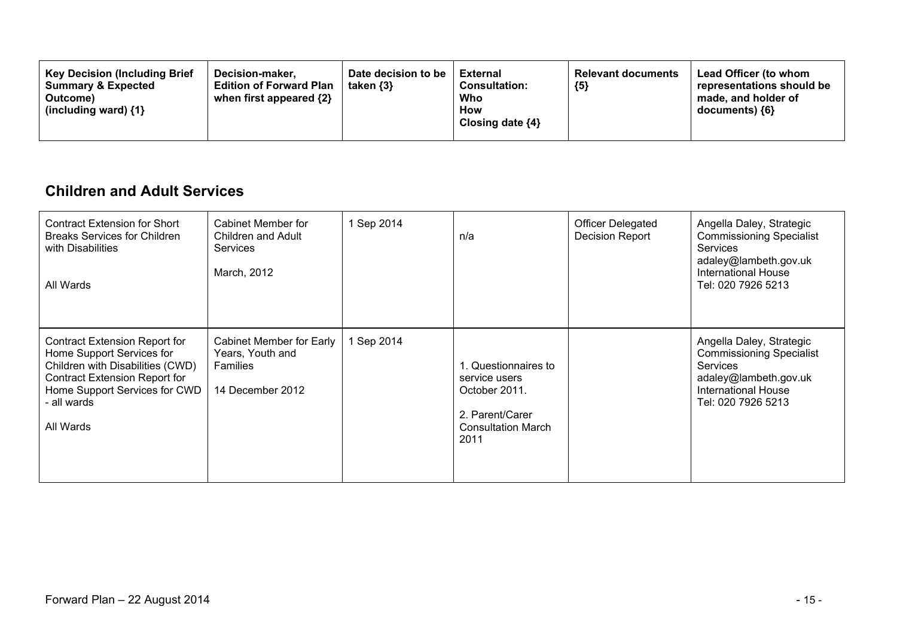| <b>Key Decision (Including Brief</b><br>Decision-maker.<br><b>Summary &amp; Expected</b><br><b>Edition of Forward Plan</b><br>when first appeared $\{2\}$<br>Outcome)<br>(including ward) $\{1\}$ | Date decision to be<br>taken $\{3\}$ | External<br><b>Consultation:</b><br>Who<br><b>How</b><br>Closing date $\{4\}$ | <b>Relevant documents</b><br>${5}$ | Lead Officer (to whom<br>representations should be<br>made, and holder of<br>documents) $\{6\}$ |
|---------------------------------------------------------------------------------------------------------------------------------------------------------------------------------------------------|--------------------------------------|-------------------------------------------------------------------------------|------------------------------------|-------------------------------------------------------------------------------------------------|
|---------------------------------------------------------------------------------------------------------------------------------------------------------------------------------------------------|--------------------------------------|-------------------------------------------------------------------------------|------------------------------------|-------------------------------------------------------------------------------------------------|

#### **Children and Adult Services**

| <b>Contract Extension for Short</b><br><b>Breaks Services for Children</b><br>with Disabilities<br>All Wards                                                                                             | Cabinet Member for<br>Children and Adult<br><b>Services</b><br>March, 2012   | 1 Sep 2014 | n/a                                                                                                           | <b>Officer Delegated</b><br>Decision Report | Angella Daley, Strategic<br><b>Commissioning Specialist</b><br><b>Services</b><br>adaley@lambeth.gov.uk<br><b>International House</b><br>Tel: 020 7926 5213 |
|----------------------------------------------------------------------------------------------------------------------------------------------------------------------------------------------------------|------------------------------------------------------------------------------|------------|---------------------------------------------------------------------------------------------------------------|---------------------------------------------|-------------------------------------------------------------------------------------------------------------------------------------------------------------|
| <b>Contract Extension Report for</b><br>Home Support Services for<br>Children with Disabilities (CWD)<br><b>Contract Extension Report for</b><br>Home Support Services for CWD<br>all wards<br>All Wards | Cabinet Member for Early<br>Years, Youth and<br>Families<br>14 December 2012 | Sep 2014   | . Questionnaires to<br>service users<br>October 2011.<br>2. Parent/Carer<br><b>Consultation March</b><br>2011 |                                             | Angella Daley, Strategic<br><b>Commissioning Specialist</b><br><b>Services</b><br>adaley@lambeth.gov.uk<br><b>International House</b><br>Tel: 020 7926 5213 |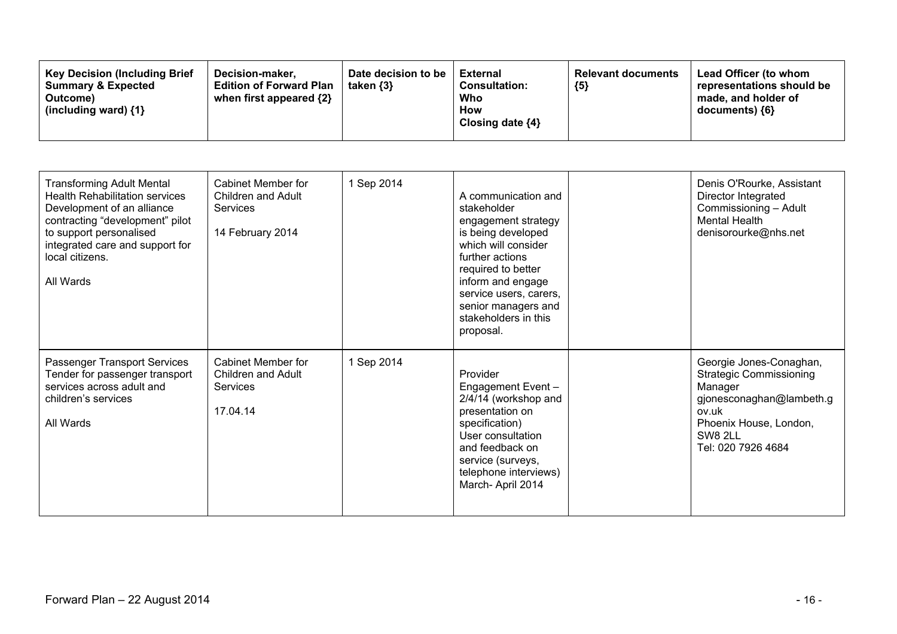| <b>Key Decision (Including Brief)</b><br>Decision-maker,<br><b>Summary &amp; Expected</b><br><b>Edition of Forward Plan</b><br>when first appeared {2}<br>Outcome)<br>(including ward) $\{1\}$ | Date decision to be<br>taken $\{3\}$ | External<br><b>Consultation:</b><br>Who<br>How<br>Closing date $\{4\}$ | <b>Relevant documents</b><br>${5}$ | Lead Officer (to whom<br>representations should be<br>made, and holder of<br>documents) $\{6\}$ |
|------------------------------------------------------------------------------------------------------------------------------------------------------------------------------------------------|--------------------------------------|------------------------------------------------------------------------|------------------------------------|-------------------------------------------------------------------------------------------------|
|------------------------------------------------------------------------------------------------------------------------------------------------------------------------------------------------|--------------------------------------|------------------------------------------------------------------------|------------------------------------|-------------------------------------------------------------------------------------------------|

| <b>Transforming Adult Mental</b><br><b>Health Rehabilitation services</b><br>Development of an alliance<br>contracting "development" pilot<br>to support personalised<br>integrated care and support for<br>local citizens.<br>All Wards | <b>Cabinet Member for</b><br>Children and Adult<br><b>Services</b><br>14 February 2014 | 1 Sep 2014 | A communication and<br>stakeholder<br>engagement strategy<br>is being developed<br>which will consider<br>further actions<br>required to better<br>inform and engage<br>service users, carers,<br>senior managers and<br>stakeholders in this<br>proposal. | Denis O'Rourke, Assistant<br>Director Integrated<br>Commissioning - Adult<br><b>Mental Health</b><br>denisorourke@nhs.net                                            |
|------------------------------------------------------------------------------------------------------------------------------------------------------------------------------------------------------------------------------------------|----------------------------------------------------------------------------------------|------------|------------------------------------------------------------------------------------------------------------------------------------------------------------------------------------------------------------------------------------------------------------|----------------------------------------------------------------------------------------------------------------------------------------------------------------------|
| Passenger Transport Services<br>Tender for passenger transport<br>services across adult and<br>children's services<br>All Wards                                                                                                          | <b>Cabinet Member for</b><br>Children and Adult<br><b>Services</b><br>17.04.14         | 1 Sep 2014 | Provider<br>Engagement Event -<br>2/4/14 (workshop and<br>presentation on<br>specification)<br>User consultation<br>and feedback on<br>service (surveys,<br>telephone interviews)<br>March-April 2014                                                      | Georgie Jones-Conaghan,<br><b>Strategic Commissioning</b><br>Manager<br>gjonesconaghan@lambeth.g<br>ov.uk<br>Phoenix House, London,<br>SW8 2LL<br>Tel: 020 7926 4684 |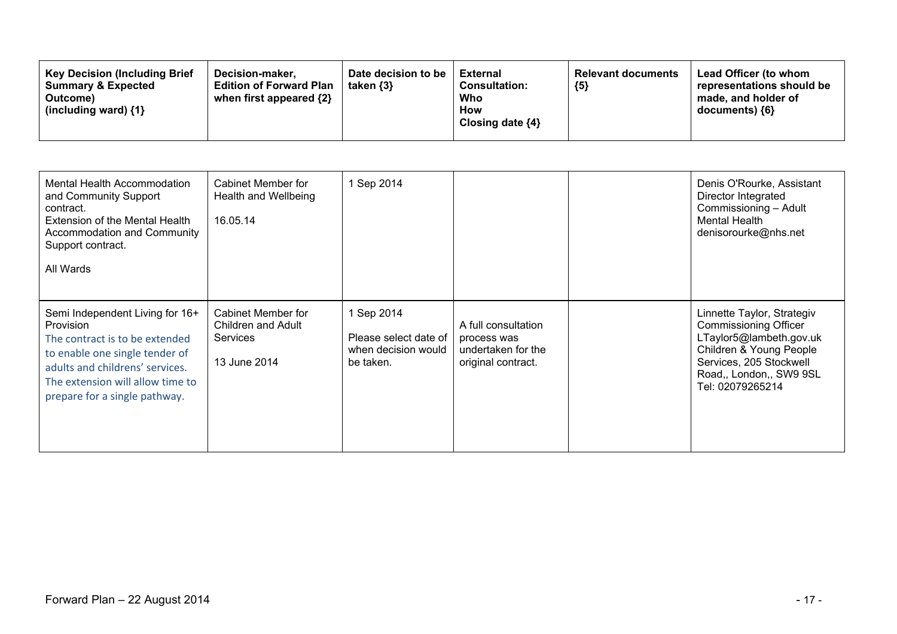| Mental Health Accommodation<br>and Community Support<br>contract.<br>Extension of the Mental Health<br>Accommodation and Community<br>Support contract.<br>All Wards                                                            | Cabinet Member for<br>Health and Wellbeing<br>16.05.14               | 1 Sep 2014                                                              |                                                                                | Denis O'Rourke, Assistant<br>Director Integrated<br>Commissioning - Adult<br>Mental Health<br>denisorourke@nhs.net                                                                         |
|---------------------------------------------------------------------------------------------------------------------------------------------------------------------------------------------------------------------------------|----------------------------------------------------------------------|-------------------------------------------------------------------------|--------------------------------------------------------------------------------|--------------------------------------------------------------------------------------------------------------------------------------------------------------------------------------------|
| Semi Independent Living for 16+<br><b>Provision</b><br>The contract is to be extended<br>to enable one single tender of<br>adults and childrens' services.<br>The extension will allow time to<br>prepare for a single pathway. | Cabinet Member for<br>Children and Adult<br>Services<br>13 June 2014 | 1 Sep 2014<br>Please select date of<br>when decision would<br>be taken. | A full consultation<br>process was<br>undertaken for the<br>original contract. | Linnette Taylor, Strategiv<br><b>Commissioning Officer</b><br>LTaylor5@lambeth.gov.uk<br>Children & Young People<br>Services, 205 Stockwell<br>Road,, London,, SW9 9SL<br>Tel: 02079265214 |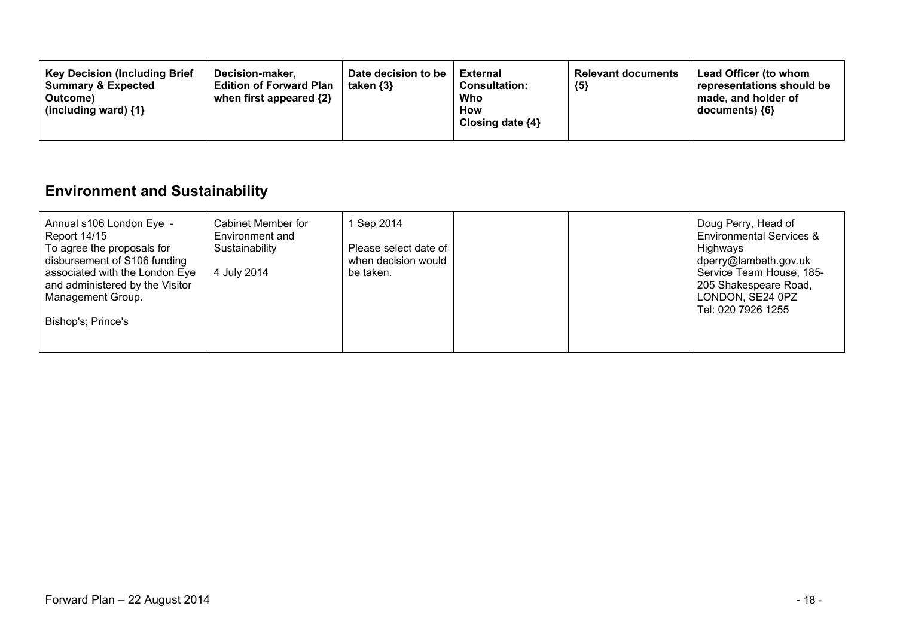| <b>Key Decision (Including Brief</b><br>Date decision to be<br>Decision-maker.<br><b>Summary &amp; Expected</b><br>taken $\{3\}$<br><b>Edition of Forward Plan</b><br>when first appeared $\{2\}$<br>Outcome)<br>(including ward) $\{1\}$ | External<br><b>Relevant documents</b><br>${5}$<br><b>Consultation:</b><br>Who<br>How<br>Closing date $\{4\}$ | <b>Lead Officer (to whom</b><br>representations should be<br>made, and holder of<br>documents) ${6}$ |
|-------------------------------------------------------------------------------------------------------------------------------------------------------------------------------------------------------------------------------------------|--------------------------------------------------------------------------------------------------------------|------------------------------------------------------------------------------------------------------|
|-------------------------------------------------------------------------------------------------------------------------------------------------------------------------------------------------------------------------------------------|--------------------------------------------------------------------------------------------------------------|------------------------------------------------------------------------------------------------------|

# **Environment and Sustainability**

| Cabinet Member for<br>Annual s106 London Eye -<br>Environment and<br><b>Report 14/15</b><br>To agree the proposals for<br>Sustainability<br>disbursement of S106 funding<br>associated with the London Eye<br>4 July 2014<br>and administered by the Visitor<br>Management Group.<br>Bishop's; Prince's | 1 Sep 2014<br>Please select date of<br>when decision would<br>be taken. | Doug Perry, Head of<br><b>Environmental Services &amp;</b><br>Highways<br>dperry@lambeth.gov.uk<br>Service Team House, 185-<br>205 Shakespeare Road,<br>LONDON, SE24 0PZ<br>Tel: 020 7926 1255 |
|---------------------------------------------------------------------------------------------------------------------------------------------------------------------------------------------------------------------------------------------------------------------------------------------------------|-------------------------------------------------------------------------|------------------------------------------------------------------------------------------------------------------------------------------------------------------------------------------------|
|---------------------------------------------------------------------------------------------------------------------------------------------------------------------------------------------------------------------------------------------------------------------------------------------------------|-------------------------------------------------------------------------|------------------------------------------------------------------------------------------------------------------------------------------------------------------------------------------------|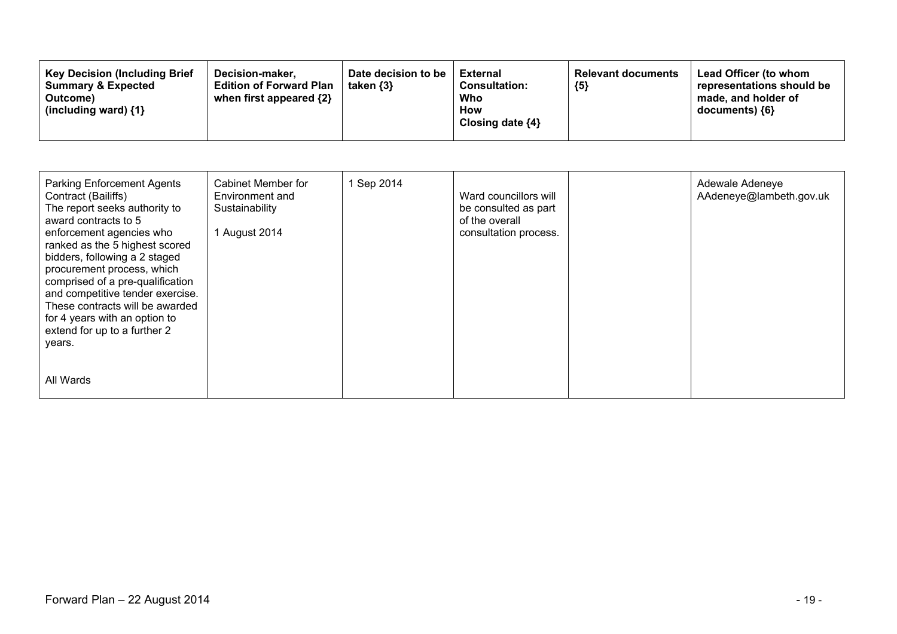| <b>Key Decision (Including Brief</b><br>Decision-maker,<br><b>Summary &amp; Expected</b><br><b>Edition of Forward Plan</b><br>when first appeared {2}<br>Outcome)<br>(including ward) $\{1\}$ | Date decision to be<br>taken $\{3\}$ | External<br><b>Consultation:</b><br>Who<br>How<br>Closing date $\{4\}$ | <b>Relevant documents</b><br>${5}$ | Lead Officer (to whom<br>representations should be<br>made, and holder of<br>documents) {6} |
|-----------------------------------------------------------------------------------------------------------------------------------------------------------------------------------------------|--------------------------------------|------------------------------------------------------------------------|------------------------------------|---------------------------------------------------------------------------------------------|
|-----------------------------------------------------------------------------------------------------------------------------------------------------------------------------------------------|--------------------------------------|------------------------------------------------------------------------|------------------------------------|---------------------------------------------------------------------------------------------|

| <b>Parking Enforcement Agents</b><br>Contract (Bailiffs)<br>The report seeks authority to<br>award contracts to 5<br>enforcement agencies who<br>ranked as the 5 highest scored<br>bidders, following a 2 staged<br>procurement process, which<br>comprised of a pre-qualification<br>and competitive tender exercise.<br>These contracts will be awarded<br>for 4 years with an option to<br>extend for up to a further 2<br>years. | Cabinet Member for<br>Environment and<br>Sustainability<br>1 August 2014 | 1 Sep 2014 | Ward councillors will<br>be consulted as part<br>of the overall<br>consultation process. | Adewale Adeneye<br>AAdeneye@lambeth.gov.uk |
|--------------------------------------------------------------------------------------------------------------------------------------------------------------------------------------------------------------------------------------------------------------------------------------------------------------------------------------------------------------------------------------------------------------------------------------|--------------------------------------------------------------------------|------------|------------------------------------------------------------------------------------------|--------------------------------------------|
| All Wards                                                                                                                                                                                                                                                                                                                                                                                                                            |                                                                          |            |                                                                                          |                                            |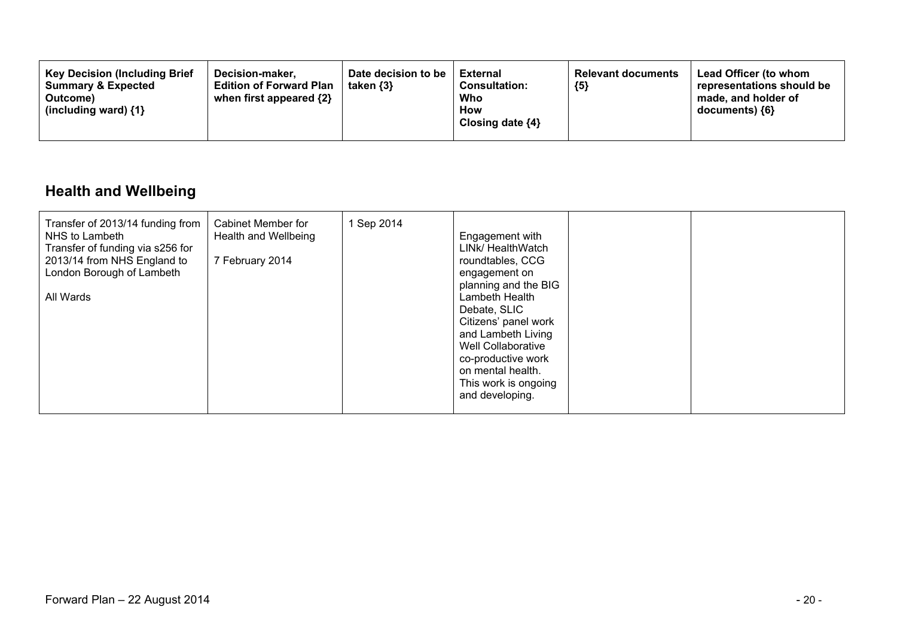### **Health and Wellbeing**

| Transfer of 2013/14 funding from<br>NHS to Lambeth<br>Transfer of funding via s256 for<br>2013/14 from NHS England to<br>London Borough of Lambeth<br>All Wards | Cabinet Member for<br>Health and Wellbeing<br>7 February 2014 | 1 Sep 2014 | Engagement with<br>LINK/ HealthWatch<br>roundtables, CCG<br>engagement on<br>planning and the BIG<br>Lambeth Health<br>Debate, SLIC<br>Citizens' panel work<br>and Lambeth Living<br>Well Collaborative<br>co-productive work<br>on mental health.<br>This work is ongoing<br>and developing. |  |  |
|-----------------------------------------------------------------------------------------------------------------------------------------------------------------|---------------------------------------------------------------|------------|-----------------------------------------------------------------------------------------------------------------------------------------------------------------------------------------------------------------------------------------------------------------------------------------------|--|--|
|-----------------------------------------------------------------------------------------------------------------------------------------------------------------|---------------------------------------------------------------|------------|-----------------------------------------------------------------------------------------------------------------------------------------------------------------------------------------------------------------------------------------------------------------------------------------------|--|--|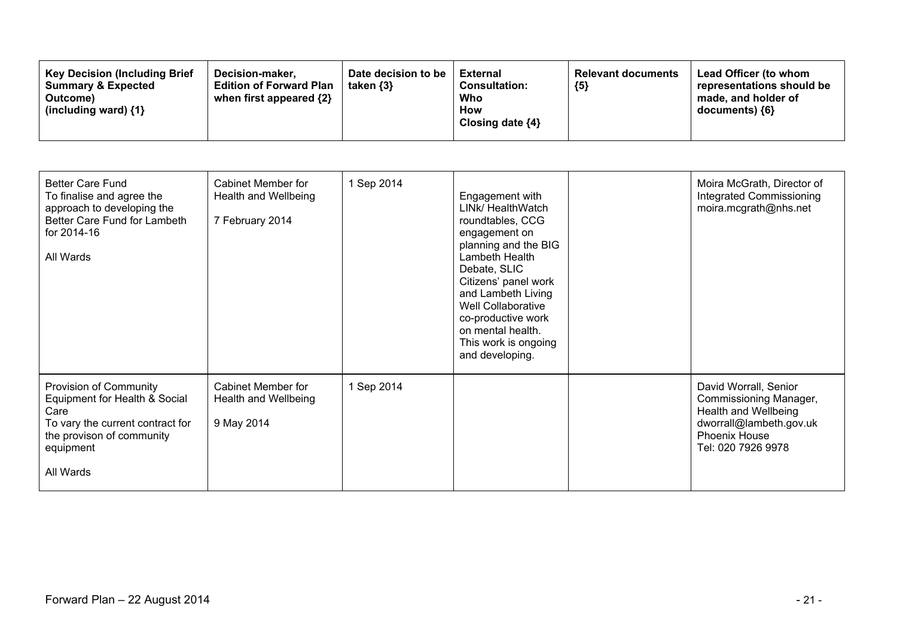| <b>Key Decision (Including Brief</b><br>Decision-maker.<br><b>Edition of Forward Plan</b><br><b>Summary &amp; Expected</b><br>when first appeared {2}<br>Outcome)<br>(including ward) $\{1\}$ | Date decision to be<br>taken $\{3\}$ | <b>External</b><br><b>Consultation:</b><br>Who<br>How<br>Closing date $\{4\}$ | <b>Relevant documents</b><br>${5}$ | Lead Officer (to whom<br>representations should be<br>made, and holder of<br>$documents)$ {6} |
|-----------------------------------------------------------------------------------------------------------------------------------------------------------------------------------------------|--------------------------------------|-------------------------------------------------------------------------------|------------------------------------|-----------------------------------------------------------------------------------------------|
|-----------------------------------------------------------------------------------------------------------------------------------------------------------------------------------------------|--------------------------------------|-------------------------------------------------------------------------------|------------------------------------|-----------------------------------------------------------------------------------------------|

| <b>Better Care Fund</b><br>To finalise and agree the<br>approach to developing the<br>Better Care Fund for Lambeth<br>for 2014-16<br>All Wards             | <b>Cabinet Member for</b><br>Health and Wellbeing<br>7 February 2014 | 1 Sep 2014 | Engagement with<br>LINk/ HealthWatch<br>roundtables, CCG<br>engagement on<br>planning and the BIG<br>Lambeth Health<br>Debate, SLIC<br>Citizens' panel work<br>and Lambeth Living<br><b>Well Collaborative</b><br>co-productive work<br>on mental health.<br>This work is ongoing<br>and developing. | Moira McGrath, Director of<br><b>Integrated Commissioning</b><br>moira.mcgrath@nhs.net                                                           |
|------------------------------------------------------------------------------------------------------------------------------------------------------------|----------------------------------------------------------------------|------------|------------------------------------------------------------------------------------------------------------------------------------------------------------------------------------------------------------------------------------------------------------------------------------------------------|--------------------------------------------------------------------------------------------------------------------------------------------------|
| Provision of Community<br>Equipment for Health & Social<br>Care<br>To vary the current contract for<br>the provison of community<br>equipment<br>All Wards | Cabinet Member for<br>Health and Wellbeing<br>9 May 2014             | 1 Sep 2014 |                                                                                                                                                                                                                                                                                                      | David Worrall, Senior<br>Commissioning Manager,<br>Health and Wellbeing<br>dworrall@lambeth.gov.uk<br><b>Phoenix House</b><br>Tel: 020 7926 9978 |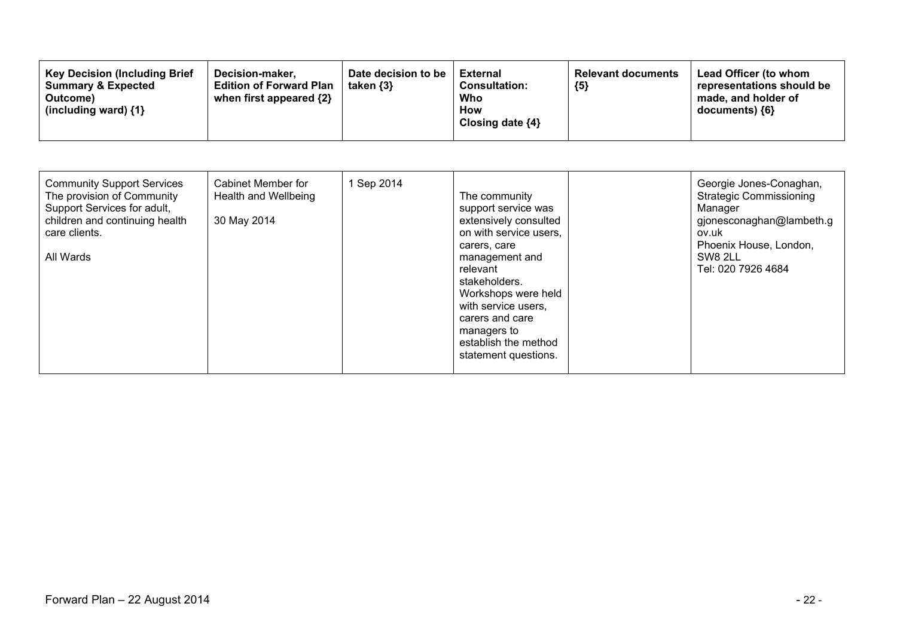| <b>Key Decision (Including Brief)</b><br>Decision-maker,<br><b>Summary &amp; Expected</b><br><b>Edition of Forward Plan</b><br>when first appeared {2}<br>Outcome)<br>(including ward) $\{1\}$ | Date decision to be<br>taken $\{3\}$ | <b>External</b><br><b>Consultation:</b><br>Who<br>How<br>Closing date $\{4\}$ | <b>Relevant documents</b><br>${5}$ | <b>Lead Officer (to whom</b><br>representations should be<br>made, and holder of<br>documents) ${6}$ |
|------------------------------------------------------------------------------------------------------------------------------------------------------------------------------------------------|--------------------------------------|-------------------------------------------------------------------------------|------------------------------------|------------------------------------------------------------------------------------------------------|
|------------------------------------------------------------------------------------------------------------------------------------------------------------------------------------------------|--------------------------------------|-------------------------------------------------------------------------------|------------------------------------|------------------------------------------------------------------------------------------------------|

| <b>Community Support Services</b><br>The provision of Community<br>Support Services for adult,<br>children and continuing health<br>care clients.<br>All Wards | Cabinet Member for<br>Health and Wellbeing<br>30 May 2014 | 1 Sep 2014 | The community<br>support service was<br>extensively consulted<br>on with service users,<br>carers, care<br>management and<br>relevant<br>stakeholders.<br>Workshops were held<br>with service users,<br>carers and care<br>managers to<br>establish the method<br>statement questions. |  | Georgie Jones-Conaghan,<br><b>Strategic Commissioning</b><br>Manager<br>gjonesconaghan@lambeth.g<br>ov.uk<br>Phoenix House, London,<br>SW8 2LL<br>Tel: 020 7926 4684 |
|----------------------------------------------------------------------------------------------------------------------------------------------------------------|-----------------------------------------------------------|------------|----------------------------------------------------------------------------------------------------------------------------------------------------------------------------------------------------------------------------------------------------------------------------------------|--|----------------------------------------------------------------------------------------------------------------------------------------------------------------------|
|----------------------------------------------------------------------------------------------------------------------------------------------------------------|-----------------------------------------------------------|------------|----------------------------------------------------------------------------------------------------------------------------------------------------------------------------------------------------------------------------------------------------------------------------------------|--|----------------------------------------------------------------------------------------------------------------------------------------------------------------------|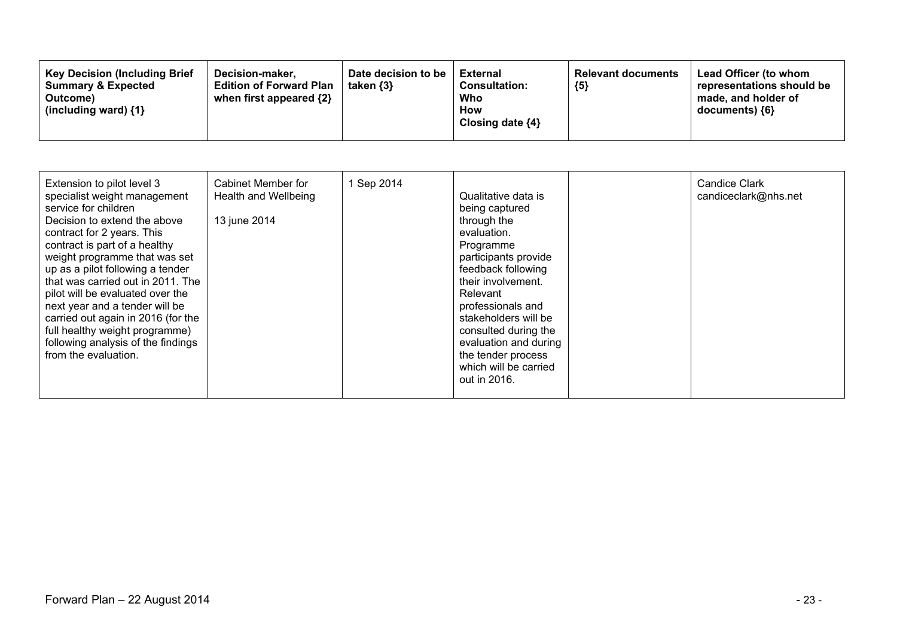| <b>Key Decision (Including Brief</b><br>Decision-maker,<br><b>Summary &amp; Expected</b><br><b>Edition of Forward Plan</b><br>when first appeared {2}<br>Outcome)<br>(including ward) $\{1\}$ | Date decision to be<br>taken $\{3\}$ | External<br><b>Consultation:</b><br>Who<br>How<br>Closing date $\{4\}$ | <b>Relevant documents</b><br>${5}$ | Lead Officer (to whom<br>representations should be<br>made, and holder of<br>documents) {6} |
|-----------------------------------------------------------------------------------------------------------------------------------------------------------------------------------------------|--------------------------------------|------------------------------------------------------------------------|------------------------------------|---------------------------------------------------------------------------------------------|
|-----------------------------------------------------------------------------------------------------------------------------------------------------------------------------------------------|--------------------------------------|------------------------------------------------------------------------|------------------------------------|---------------------------------------------------------------------------------------------|

| Extension to pilot level 3<br>specialist weight management<br>service for children<br>Decision to extend the above<br>contract for 2 years. This<br>contract is part of a healthy<br>weight programme that was set<br>up as a pilot following a tender<br>that was carried out in 2011. The<br>pilot will be evaluated over the<br>next year and a tender will be<br>carried out again in 2016 (for the<br>full healthy weight programme)<br>following analysis of the findings<br>from the evaluation. | Cabinet Member for<br>Health and Wellbeing<br>13 june 2014 | 1 Sep 2014 | Qualitative data is<br>being captured<br>through the<br>evaluation.<br>Programme<br>participants provide<br>feedback following<br>their involvement.<br>Relevant<br>professionals and<br>stakeholders will be<br>consulted during the<br>evaluation and during<br>the tender process<br>which will be carried<br>out in 2016. |  | <b>Candice Clark</b><br>candiceclark@nhs.net |
|---------------------------------------------------------------------------------------------------------------------------------------------------------------------------------------------------------------------------------------------------------------------------------------------------------------------------------------------------------------------------------------------------------------------------------------------------------------------------------------------------------|------------------------------------------------------------|------------|-------------------------------------------------------------------------------------------------------------------------------------------------------------------------------------------------------------------------------------------------------------------------------------------------------------------------------|--|----------------------------------------------|
|---------------------------------------------------------------------------------------------------------------------------------------------------------------------------------------------------------------------------------------------------------------------------------------------------------------------------------------------------------------------------------------------------------------------------------------------------------------------------------------------------------|------------------------------------------------------------|------------|-------------------------------------------------------------------------------------------------------------------------------------------------------------------------------------------------------------------------------------------------------------------------------------------------------------------------------|--|----------------------------------------------|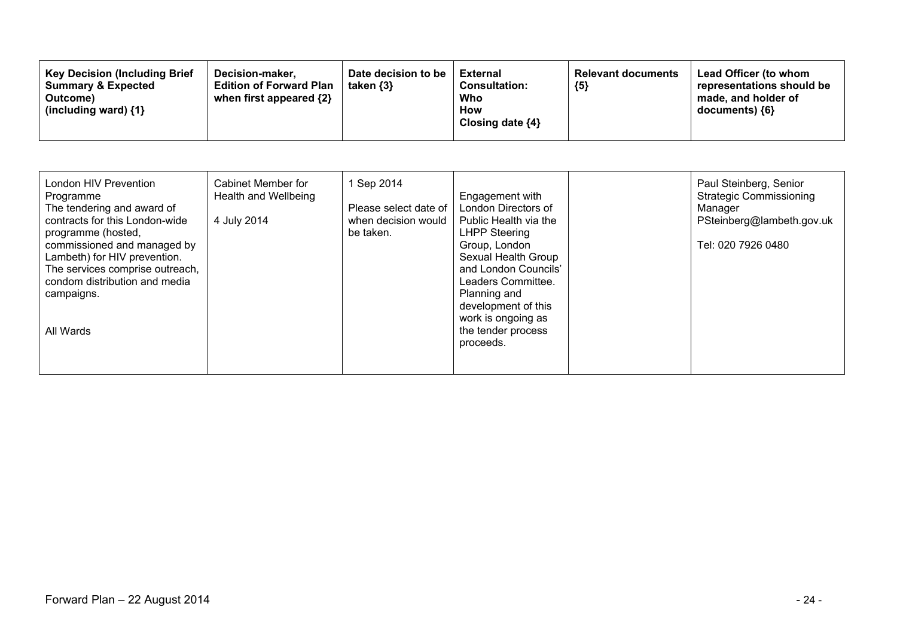| 1 Sep 2014                      | Paul Steinberg, Senior         |
|---------------------------------|--------------------------------|
| London HIV Prevention           | <b>Strategic Commissioning</b> |
| Cabinet Member for              | Engagement with                |
| Health and Wellbeing            | London Directors of            |
| Programme                       | Manager                        |
| The tendering and award of      | PSteinberg@lambeth.gov.uk      |
| Please select date of           | Public Health via the          |
| contracts for this London-wide  | <b>LHPP Steering</b>           |
| 4 July 2014                     | Tel: 020 7926 0480             |
| when decision would             | Group, London                  |
| be taken.                       | Sexual Health Group            |
| programme (hosted,              | and London Councils'           |
| commissioned and managed by     | Leaders Committee.             |
| Lambeth) for HIV prevention.    | Planning and                   |
| The services comprise outreach, | development of this            |
| condom distribution and media   | work is ongoing as             |
| campaigns.                      | the tender process             |
| All Wards                       | proceeds.                      |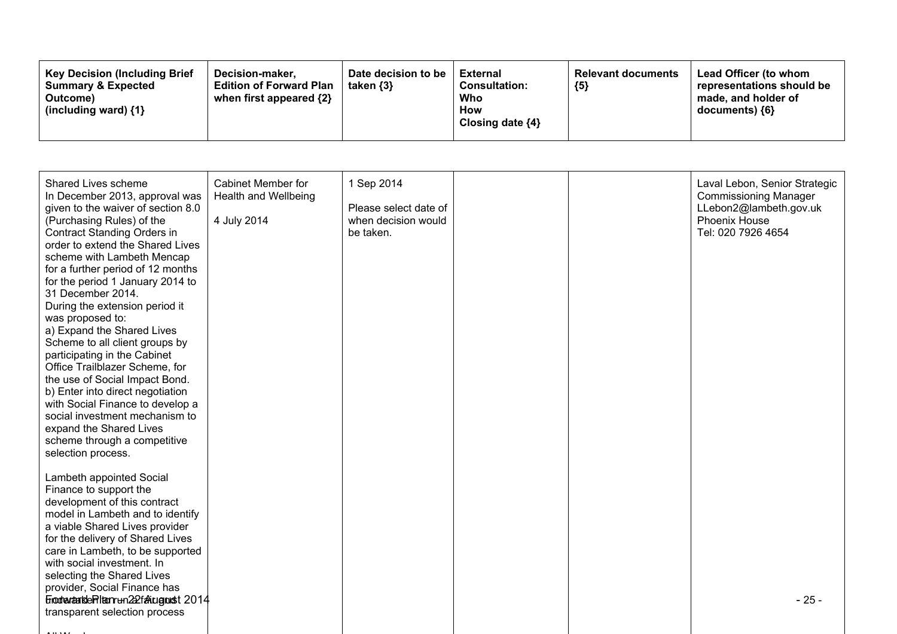| <b>Key Decision (Including Brief</b><br>Decision-maker.<br><b>Summary &amp; Expected</b><br><b>Edition of Forward Plan</b><br>when first appeared $\{2\}$<br>Outcome)<br>(including ward) $\{1\}$ | Date decision to be<br>taken {3} | <b>External</b><br><b>Consultation:</b><br>Who<br>How<br>Closing date $\{4\}$ | <b>Relevant documents</b><br>${5}$ | <b>Lead Officer (to whom</b><br>representations should be<br>made, and holder of<br>documents) ${6}$ |
|---------------------------------------------------------------------------------------------------------------------------------------------------------------------------------------------------|----------------------------------|-------------------------------------------------------------------------------|------------------------------------|------------------------------------------------------------------------------------------------------|
|---------------------------------------------------------------------------------------------------------------------------------------------------------------------------------------------------|----------------------------------|-------------------------------------------------------------------------------|------------------------------------|------------------------------------------------------------------------------------------------------|

| Shared Lives scheme<br>In December 2013, approval was<br>given to the waiver of section 8.0<br>(Purchasing Rules) of the<br><b>Contract Standing Orders in</b><br>order to extend the Shared Lives<br>scheme with Lambeth Mencap<br>for a further period of 12 months<br>for the period 1 January 2014 to<br>31 December 2014.<br>During the extension period it<br>was proposed to:<br>a) Expand the Shared Lives<br>Scheme to all client groups by<br>participating in the Cabinet<br>Office Trailblazer Scheme, for<br>the use of Social Impact Bond.<br>b) Enter into direct negotiation<br>with Social Finance to develop a<br>social investment mechanism to<br>expand the Shared Lives<br>scheme through a competitive<br>selection process. | Cabinet Member for<br>Health and Wellbeing<br>4 July 2014 | 1 Sep 2014<br>Please select date of<br>when decision would<br>be taken. |  | Laval Lebon, Senior Strategic<br><b>Commissioning Manager</b><br>LLebon2@lambeth.gov.uk<br>Phoenix House<br>Tel: 020 7926 4654 |
|-----------------------------------------------------------------------------------------------------------------------------------------------------------------------------------------------------------------------------------------------------------------------------------------------------------------------------------------------------------------------------------------------------------------------------------------------------------------------------------------------------------------------------------------------------------------------------------------------------------------------------------------------------------------------------------------------------------------------------------------------------|-----------------------------------------------------------|-------------------------------------------------------------------------|--|--------------------------------------------------------------------------------------------------------------------------------|
| Lambeth appointed Social<br>Finance to support the<br>development of this contract<br>model in Lambeth and to identify<br>a viable Shared Lives provider<br>for the delivery of Shared Lives<br>care in Lambeth, to be supported<br>with social investment. In<br>selecting the Shared Lives<br>provider, Social Finance has<br>Einodrautariste Pitenrum 222 fallugnust 2014<br>transparent selection process                                                                                                                                                                                                                                                                                                                                       |                                                           |                                                                         |  | $-25-$                                                                                                                         |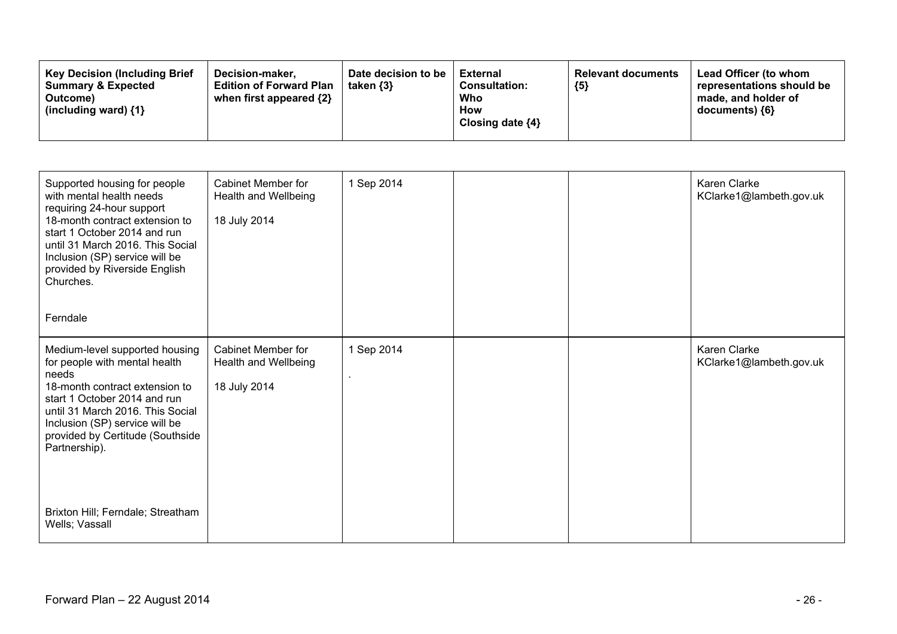| Supported housing for people<br>with mental health needs<br>requiring 24-hour support<br>18-month contract extension to<br>start 1 October 2014 and run<br>until 31 March 2016. This Social<br>Inclusion (SP) service will be<br>provided by Riverside English<br>Churches.<br>Ferndale                                      | <b>Cabinet Member for</b><br>Health and Wellbeing<br>18 July 2014 | 1 Sep 2014 |  | <b>Karen Clarke</b><br>KClarke1@lambeth.gov.uk |
|------------------------------------------------------------------------------------------------------------------------------------------------------------------------------------------------------------------------------------------------------------------------------------------------------------------------------|-------------------------------------------------------------------|------------|--|------------------------------------------------|
| Medium-level supported housing<br>for people with mental health<br>needs<br>18-month contract extension to<br>start 1 October 2014 and run<br>until 31 March 2016. This Social<br>Inclusion (SP) service will be<br>provided by Certitude (Southside<br>Partnership).<br>Brixton Hill; Ferndale; Streatham<br>Wells; Vassall | Cabinet Member for<br>Health and Wellbeing<br>18 July 2014        | 1 Sep 2014 |  | Karen Clarke<br>KClarke1@lambeth.gov.uk        |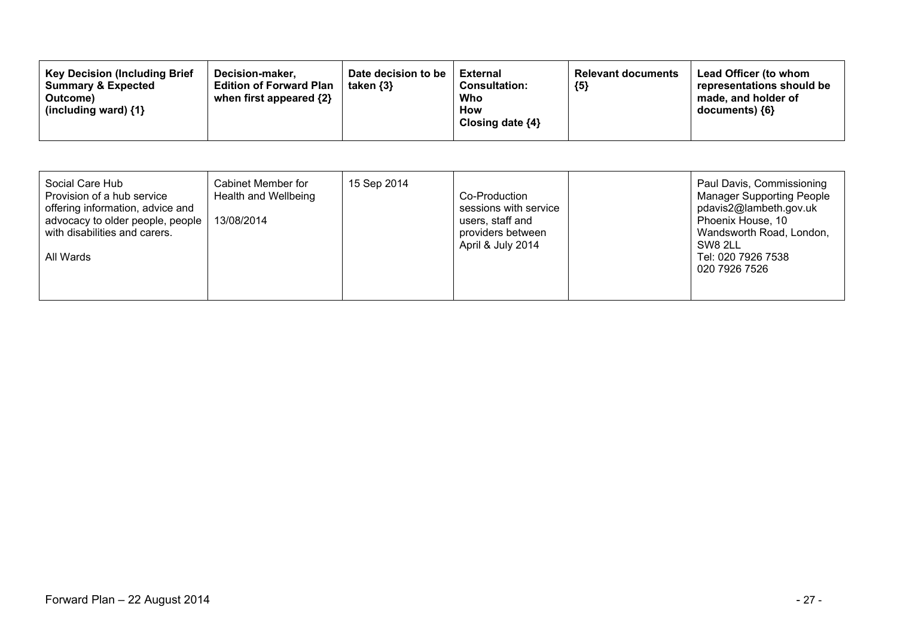| <b>Key Decision (Including Brief</b><br>Date decision to be<br>Decision-maker.<br><b>Edition of Forward Plan</b><br><b>Summary &amp; Expected</b><br>taken $\{3\}$<br>when first appeared {2}<br>Outcome)<br>(including ward) $\{1\}$ | <b>External</b><br>${5}$<br><b>Consultation:</b><br>Who<br><b>How</b><br>Closing date $\{4\}$ | Lead Officer (to whom<br><b>Relevant documents</b><br>representations should be<br>made, and holder of<br>$documents)$ {6} |
|---------------------------------------------------------------------------------------------------------------------------------------------------------------------------------------------------------------------------------------|-----------------------------------------------------------------------------------------------|----------------------------------------------------------------------------------------------------------------------------|
|---------------------------------------------------------------------------------------------------------------------------------------------------------------------------------------------------------------------------------------|-----------------------------------------------------------------------------------------------|----------------------------------------------------------------------------------------------------------------------------|

| Social Care Hub<br>Cabinet Member for<br>15 Sep 2014<br>Provision of a hub service<br>Health and Wellbeing<br>offering information, advice and<br>13/08/2014<br>advocacy to older people, people<br>with disabilities and carers.<br>All Wards | Co-Production<br>sessions with service<br>users, staff and<br>providers between<br>April & July 2014 | Paul Davis, Commissioning<br><b>Manager Supporting People</b><br>pdavis2@lambeth.gov.uk<br>Phoenix House, 10<br>Wandsworth Road, London,<br>SW8 2LL<br>Tel: 020 7926 7538<br>020 7926 7526 |
|------------------------------------------------------------------------------------------------------------------------------------------------------------------------------------------------------------------------------------------------|------------------------------------------------------------------------------------------------------|--------------------------------------------------------------------------------------------------------------------------------------------------------------------------------------------|
|------------------------------------------------------------------------------------------------------------------------------------------------------------------------------------------------------------------------------------------------|------------------------------------------------------------------------------------------------------|--------------------------------------------------------------------------------------------------------------------------------------------------------------------------------------------|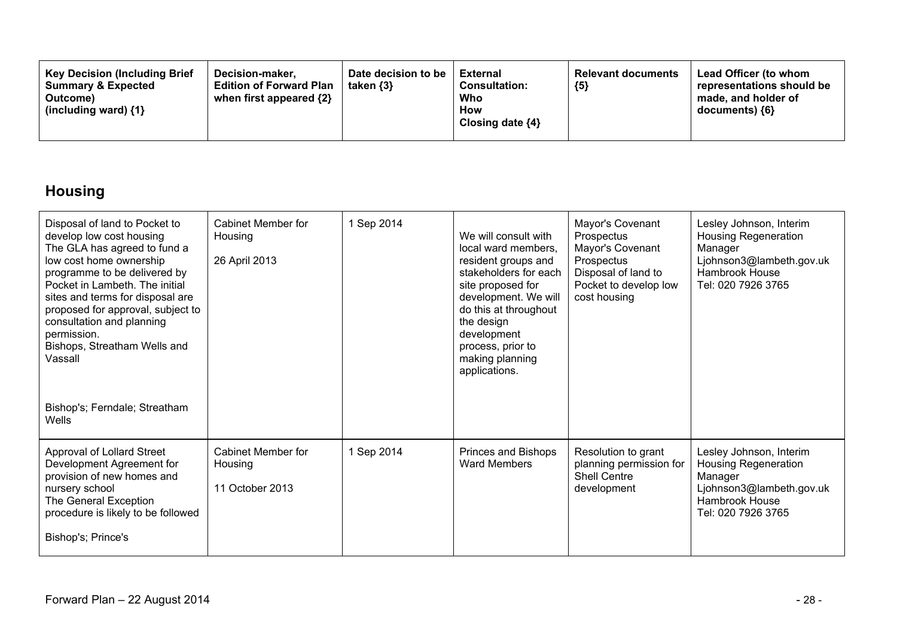| <b>Key Decision (Including Brief</b><br>Decision-maker.<br><b>Summary &amp; Expected</b><br><b>Edition of Forward Plan</b><br>when first appeared {2}<br>Outcome)<br>(including ward) {1} | Date decision to be<br>taken $\{3\}$ | <b>External</b><br><b>Consultation:</b><br>Who<br>How<br>Closing date $\{4\}$ | <b>Relevant documents</b><br>${5}$ | <b>Lead Officer (to whom</b><br>representations should be<br>made, and holder of<br>documents) {6} |
|-------------------------------------------------------------------------------------------------------------------------------------------------------------------------------------------|--------------------------------------|-------------------------------------------------------------------------------|------------------------------------|----------------------------------------------------------------------------------------------------|
|-------------------------------------------------------------------------------------------------------------------------------------------------------------------------------------------|--------------------------------------|-------------------------------------------------------------------------------|------------------------------------|----------------------------------------------------------------------------------------------------|

### **Housing**

| Disposal of land to Pocket to<br>develop low cost housing<br>The GLA has agreed to fund a<br>low cost home ownership<br>programme to be delivered by<br>Pocket in Lambeth. The initial<br>sites and terms for disposal are<br>proposed for approval, subject to<br>consultation and planning<br>permission.<br>Bishops, Streatham Wells and<br>Vassall<br>Bishop's; Ferndale; Streatham<br>Wells | Cabinet Member for<br>Housing<br>26 April 2013   | 1 Sep 2014 | We will consult with<br>local ward members,<br>resident groups and<br>stakeholders for each<br>site proposed for<br>development. We will<br>do this at throughout<br>the design<br>development<br>process, prior to<br>making planning<br>applications. | Mayor's Covenant<br>Prospectus<br>Mayor's Covenant<br>Prospectus<br>Disposal of land to<br>Pocket to develop low<br>cost housing | Lesley Johnson, Interim<br><b>Housing Regeneration</b><br>Manager<br>Ljohnson3@lambeth.gov.uk<br>Hambrook House<br>Tel: 020 7926 3765 |
|--------------------------------------------------------------------------------------------------------------------------------------------------------------------------------------------------------------------------------------------------------------------------------------------------------------------------------------------------------------------------------------------------|--------------------------------------------------|------------|---------------------------------------------------------------------------------------------------------------------------------------------------------------------------------------------------------------------------------------------------------|----------------------------------------------------------------------------------------------------------------------------------|---------------------------------------------------------------------------------------------------------------------------------------|
|                                                                                                                                                                                                                                                                                                                                                                                                  |                                                  |            |                                                                                                                                                                                                                                                         |                                                                                                                                  |                                                                                                                                       |
| Approval of Lollard Street<br>Development Agreement for<br>provision of new homes and<br>nursery school<br>The General Exception<br>procedure is likely to be followed<br>Bishop's; Prince's                                                                                                                                                                                                     | Cabinet Member for<br>Housing<br>11 October 2013 | 1 Sep 2014 | Princes and Bishops<br><b>Ward Members</b>                                                                                                                                                                                                              | Resolution to grant<br>planning permission for<br><b>Shell Centre</b><br>development                                             | Lesley Johnson, Interim<br>Housing Regeneration<br>Manager<br>Ljohnson3@lambeth.gov.uk<br>Hambrook House<br>Tel: 020 7926 3765        |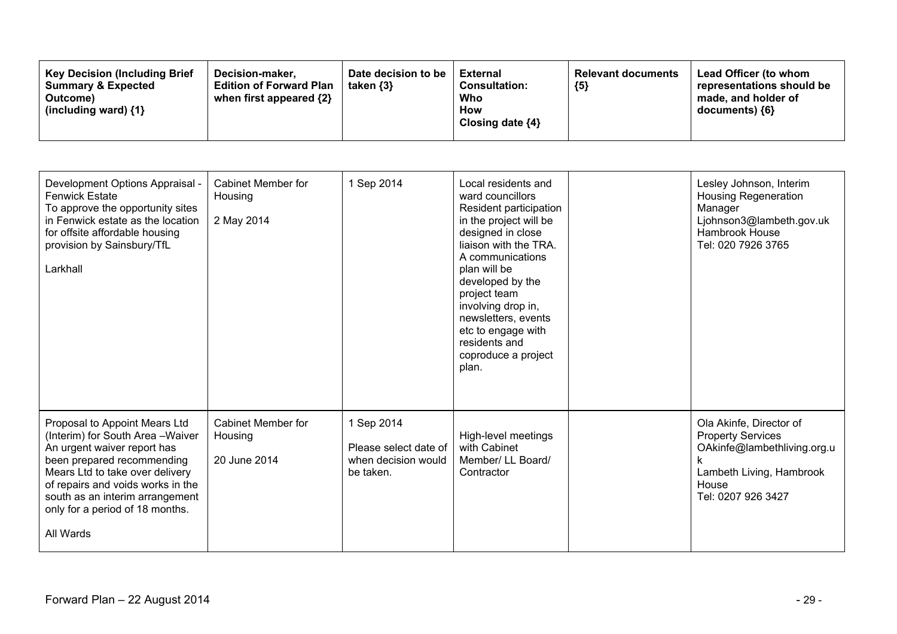| <b>Key Decision (Including Brief)</b><br>Decision-maker.<br><b>Summary &amp; Expected</b><br><b>Edition of Forward Plan</b><br>when first appeared $\{2\}$<br>Outcome)<br>(including ward) $\{1\}$ | Date decision to be<br>taken {3} | External<br><b>Consultation:</b><br>Who<br>How<br>Closing date ${4}$ | <b>Relevant documents</b><br>${5}$ | Lead Officer (to whom<br>representations should be<br>made, and holder of<br>documents) ${6}$ |
|----------------------------------------------------------------------------------------------------------------------------------------------------------------------------------------------------|----------------------------------|----------------------------------------------------------------------|------------------------------------|-----------------------------------------------------------------------------------------------|
|----------------------------------------------------------------------------------------------------------------------------------------------------------------------------------------------------|----------------------------------|----------------------------------------------------------------------|------------------------------------|-----------------------------------------------------------------------------------------------|

| Development Options Appraisal -<br><b>Fenwick Estate</b><br>To approve the opportunity sites<br>in Fenwick estate as the location<br>for offsite affordable housing<br>provision by Sainsbury/TfL<br>Larkhall                                                                              | Cabinet Member for<br>Housing<br>2 May 2014   | 1 Sep 2014                                                              | Local residents and<br>ward councillors<br>Resident participation<br>in the project will be<br>designed in close<br>liaison with the TRA.<br>A communications<br>plan will be<br>developed by the<br>project team<br>involving drop in,<br>newsletters, events<br>etc to engage with<br>residents and<br>coproduce a project<br>plan. | Lesley Johnson, Interim<br><b>Housing Regeneration</b><br>Manager<br>Ljohnson3@lambeth.gov.uk<br>Hambrook House<br>Tel: 020 7926 3765         |
|--------------------------------------------------------------------------------------------------------------------------------------------------------------------------------------------------------------------------------------------------------------------------------------------|-----------------------------------------------|-------------------------------------------------------------------------|---------------------------------------------------------------------------------------------------------------------------------------------------------------------------------------------------------------------------------------------------------------------------------------------------------------------------------------|-----------------------------------------------------------------------------------------------------------------------------------------------|
| Proposal to Appoint Mears Ltd<br>(Interim) for South Area - Waiver<br>An urgent waiver report has<br>been prepared recommending<br>Mears Ltd to take over delivery<br>of repairs and voids works in the<br>south as an interim arrangement<br>only for a period of 18 months.<br>All Wards | Cabinet Member for<br>Housing<br>20 June 2014 | 1 Sep 2014<br>Please select date of<br>when decision would<br>be taken. | High-level meetings<br>with Cabinet<br>Member/ LL Board/<br>Contractor                                                                                                                                                                                                                                                                | Ola Akinfe, Director of<br><b>Property Services</b><br>OAkinfe@lambethliving.org.u<br>Lambeth Living, Hambrook<br>House<br>Tel: 0207 926 3427 |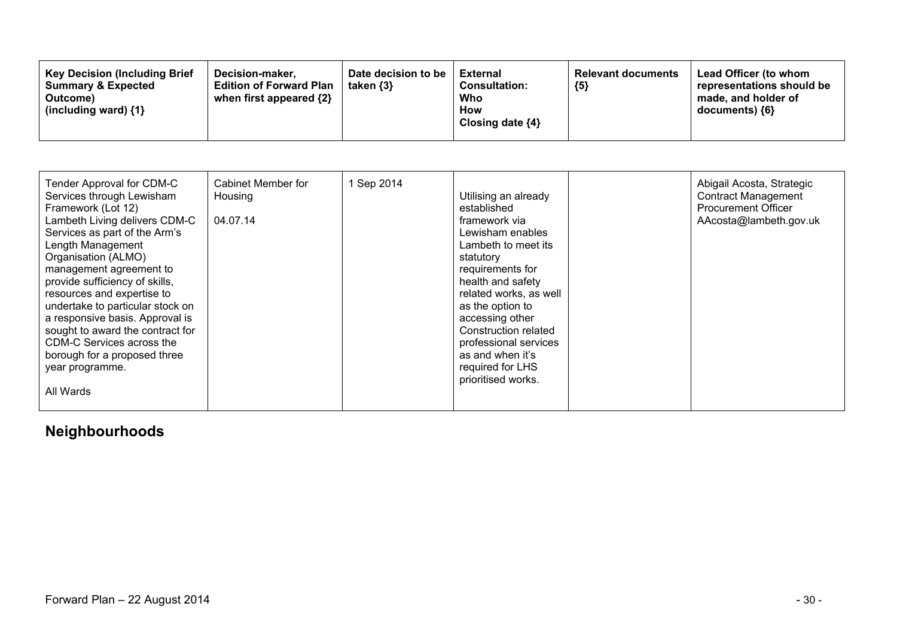| <b>Key Decision (Including Brief)</b><br>Decision-maker,<br><b>Summary &amp; Expected</b><br><b>Edition of Forward Plan</b><br>when first appeared {2}<br>Outcome)<br>(including ward) $\{1\}$ | Date decision to be<br>taken $\{3\}$ | <b>External</b><br><b>Consultation:</b><br>Who<br>How<br>Closing date $\{4\}$ | <b>Relevant documents</b><br>${5}$ | Lead Officer (to whom<br>representations should be<br>made, and holder of<br>$documents)$ {6} |
|------------------------------------------------------------------------------------------------------------------------------------------------------------------------------------------------|--------------------------------------|-------------------------------------------------------------------------------|------------------------------------|-----------------------------------------------------------------------------------------------|
|------------------------------------------------------------------------------------------------------------------------------------------------------------------------------------------------|--------------------------------------|-------------------------------------------------------------------------------|------------------------------------|-----------------------------------------------------------------------------------------------|

| Tender Approval for CDM-C<br>Services through Lewisham<br>Framework (Lot 12)<br>Lambeth Living delivers CDM-C<br>Services as part of the Arm's<br>Length Management<br>Organisation (ALMO)<br>management agreement to<br>provide sufficiency of skills,<br>resources and expertise to<br>undertake to particular stock on<br>a responsive basis. Approval is<br>sought to award the contract for<br>CDM-C Services across the<br>borough for a proposed three<br>year programme.<br>All Wards | Cabinet Member for<br>Housing<br>04.07.14 | 1 Sep 2014 | Utilising an already<br>established<br>framework via<br>Lewisham enables<br>Lambeth to meet its<br>statutory<br>requirements for<br>health and safety<br>related works, as well<br>as the option to<br>accessing other<br>Construction related<br>professional services<br>as and when it's<br>required for LHS<br>prioritised works. |  | Abigail Acosta, Strategic<br><b>Contract Management</b><br><b>Procurement Officer</b><br>AAcosta@lambeth.gov.uk |
|-----------------------------------------------------------------------------------------------------------------------------------------------------------------------------------------------------------------------------------------------------------------------------------------------------------------------------------------------------------------------------------------------------------------------------------------------------------------------------------------------|-------------------------------------------|------------|---------------------------------------------------------------------------------------------------------------------------------------------------------------------------------------------------------------------------------------------------------------------------------------------------------------------------------------|--|-----------------------------------------------------------------------------------------------------------------|
|-----------------------------------------------------------------------------------------------------------------------------------------------------------------------------------------------------------------------------------------------------------------------------------------------------------------------------------------------------------------------------------------------------------------------------------------------------------------------------------------------|-------------------------------------------|------------|---------------------------------------------------------------------------------------------------------------------------------------------------------------------------------------------------------------------------------------------------------------------------------------------------------------------------------------|--|-----------------------------------------------------------------------------------------------------------------|

### **Neighbourhoods**